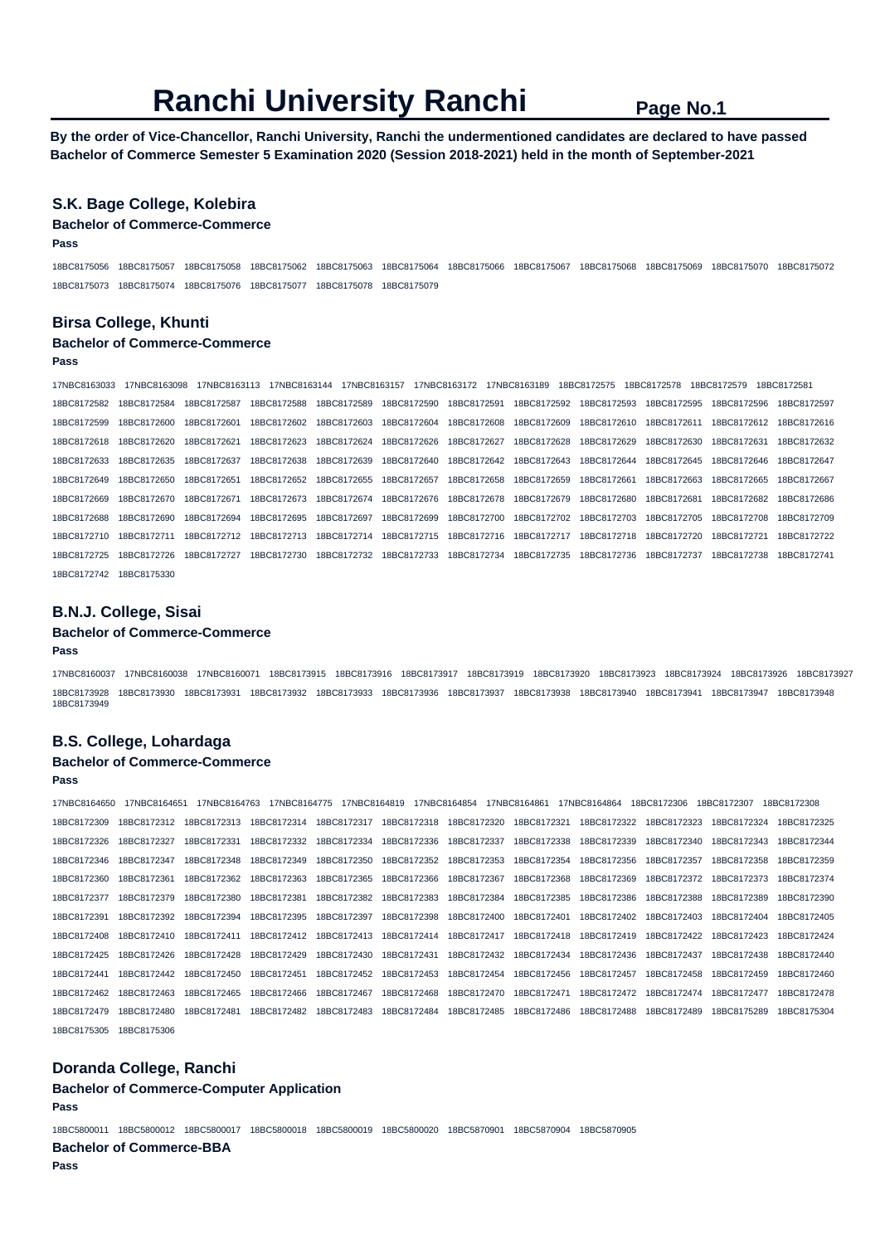**By the order of Vice-Chancellor, Ranchi University, Ranchi the undermentioned candidates are declared to have passed Bachelor of Commerce Semester 5 Examination 2020 (Session 2018-2021) held in the month of September-2021** 

### **S.K. Bage College, Kolebira**

#### **Bachelor of Commerce-Commerce**

**Pass** 

18BC8175056 18BC8175057 18BC8175058 18BC8175062 18BC8175063 18BC8175064 18BC8175066 18BC8175067 18BC8175068 18BC8175069 18BC8175070 18BC8175072 18BC8175073 18BC8175074 18BC8175076 18BC8175077 18BC8175078 18BC8175079

#### **Birsa College, Khunti**

#### **Bachelor of Commerce-Commerce**

#### **Pass**

17NBC8163033 17NBC8163098 17NBC8163113 17NBC8163144 17NBC8163157 17NBC8163172 17NBC8163189 18BC8172575 18BC8172578 18BC8172579 18BC8172581 18BC8172582 18BC8172584 18BC8172587 18BC8172588 18BC8172589 18BC8172590 18BC8172591 18BC8172592 18BC8172593 18BC8172595 18BC8172596 18BC8172597 18BC8172599 18BC8172600 18BC8172601 18BC8172602 18BC8172603 18BC8172604 18BC8172608 18BC8172609 18BC8172610 18BC8172611 18BC8172612 18BC8172616 18BC8172618 18BC8172620 18BC8172621 18BC8172623 18BC8172624 18BC8172626 18BC8172627 18BC8172628 18BC8172629 18BC8172630 18BC8172631 18BC8172632 18BC8172633 18BC8172635 18BC8172637 18BC8172638 18BC8172639 18BC8172640 18BC8172642 18BC8172643 18BC8172644 18BC8172645 18BC8172646 18BC8172647 18BC8172649 18BC8172650 18BC8172651 18BC8172652 18BC8172655 18BC8172657 18BC8172658 18BC8172659 18BC8172661 18BC8172663 18BC8172665 18BC8172667 18BC8172669 18BC8172670 18BC8172671 18BC8172673 18BC8172674 18BC8172676 18BC8172678 18BC8172679 18BC8172680 18BC8172681 18BC8172682 18BC8172686 18BC8172688 18BC8172690 18BC8172694 18BC8172695 18BC8172697 18BC8172699 18BC8172700 18BC8172702 18BC8172703 18BC8172705 18BC8172708 18BC8172709 18BC8172710 18BC8172711 18BC8172712 18BC8172713 18BC8172714 18BC8172715 18BC8172716 18BC8172717 18BC8172718 18BC8172720 18BC8172721 18BC8172722 18BC8172725 18BC8172726 18BC8172727 18BC8172730 18BC8172732 18BC8172733 18BC8172734 18BC8172735 18BC8172736 18BC8172737 18BC8172738 18BC8172741 18BC8172742 18BC8175330

#### **B.N.J. College, Sisai**

### **Bachelor of Commerce-Commerce**

#### **Pass**

17NBC8160037 17NBC8160038 17NBC8160071 18BC8173915 18BC8173916 18BC8173917 18BC8173919 18BC8173920 18BC8173923 18BC8173924 18BC8173926 18BC8173927 18BC8173928 18BC8173930 18BC8173931 18BC8173932 18BC8173933 18BC8173936 18BC8173937 18BC8173938 18BC8173940 18BC8173941 18BC8173947 18BC8173948 18BC8173949

## **B.S. College, Lohardaga**

## **Bachelor of Commerce-Commerce**

**Pass** 

17NBC8164650 17NBC8164651 17NBC8164763 17NBC8164775 17NBC8164819 17NBC8164854 17NBC8164861 17NBC8164864 18BC8172306 18BC8172307 18BC8172308 18BC8172309 18BC8172312 18BC8172313 18BC8172314 18BC8172317 18BC8172318 18BC8172320 18BC8172321 18BC8172322 18BC8172323 18BC8172324 18BC8172325 18BC8172326 18BC8172327 18BC8172331 18BC8172332 18BC8172334 18BC8172336 18BC8172337 18BC8172338 18BC8172339 18BC8172340 18BC8172343 18BC8172344 18BC8172346 18BC8172347 18BC8172348 18BC8172349 18BC8172350 18BC8172352 18BC8172353 18BC8172354 18BC8172356 18BC8172357 18BC8172358 18BC8172359 18BC8172360 18BC8172361 18BC8172362 18BC8172363 18BC8172365 18BC8172366 18BC8172367 18BC8172368 18BC8172369 18BC8172372 18BC8172373 18BC8172374 18BC8172377 18BC8172379 18BC8172380 18BC8172381 18BC8172382 18BC8172383 18BC8172384 18BC8172385 18BC8172386 18BC8172388 18BC8172389 18BC8172390 18BC8172391 18BC8172392 18BC8172394 18BC8172395 18BC8172397 18BC8172398 18BC8172400 18BC8172401 18BC8172402 18BC8172403 18BC8172404 18BC8172405 18BC8172408 18BC8172410 18BC8172411 18BC8172412 18BC8172413 18BC8172414 18BC8172417 18BC8172418 18BC8172419 18BC8172422 18BC8172423 18BC8172424 18BC8172425 18BC8172426 18BC8172428 18BC8172429 18BC8172430 18BC8172431 18BC8172432 18BC8172434 18BC8172436 18BC8172437 18BC8172438 18BC8172440 18BC8172441 18BC8172442 18BC8172450 18BC8172451 18BC8172452 18BC8172453 18BC8172454 18BC8172456 18BC8172457 18BC8172458 18BC8172459 18BC8172460 18BC8172462 18BC8172463 18BC8172465 18BC8172466 18BC8172467 18BC8172468 18BC8172470 18BC8172471 18BC8172472 18BC8172474 18BC8172477 18BC8172478 18BC8172479 18BC8172480 18BC8172481 18BC8172482 18BC8172483 18BC8172484 18BC8172485 18BC8172486 18BC8172488 18BC8172489 18BC8175289 18BC8175304 18BC8175305 18BC8175306

### **Doranda College, Ranchi**

#### **Bachelor of Commerce-Computer Application**

**Pass** 

18BC5800011 18BC5800012 18BC5800017 18BC5800018 18BC5800019 18BC5800020 18BC5870901 18BC5870904 18BC5870905 **Bachelor of Commerce-BBA** 

**Pass**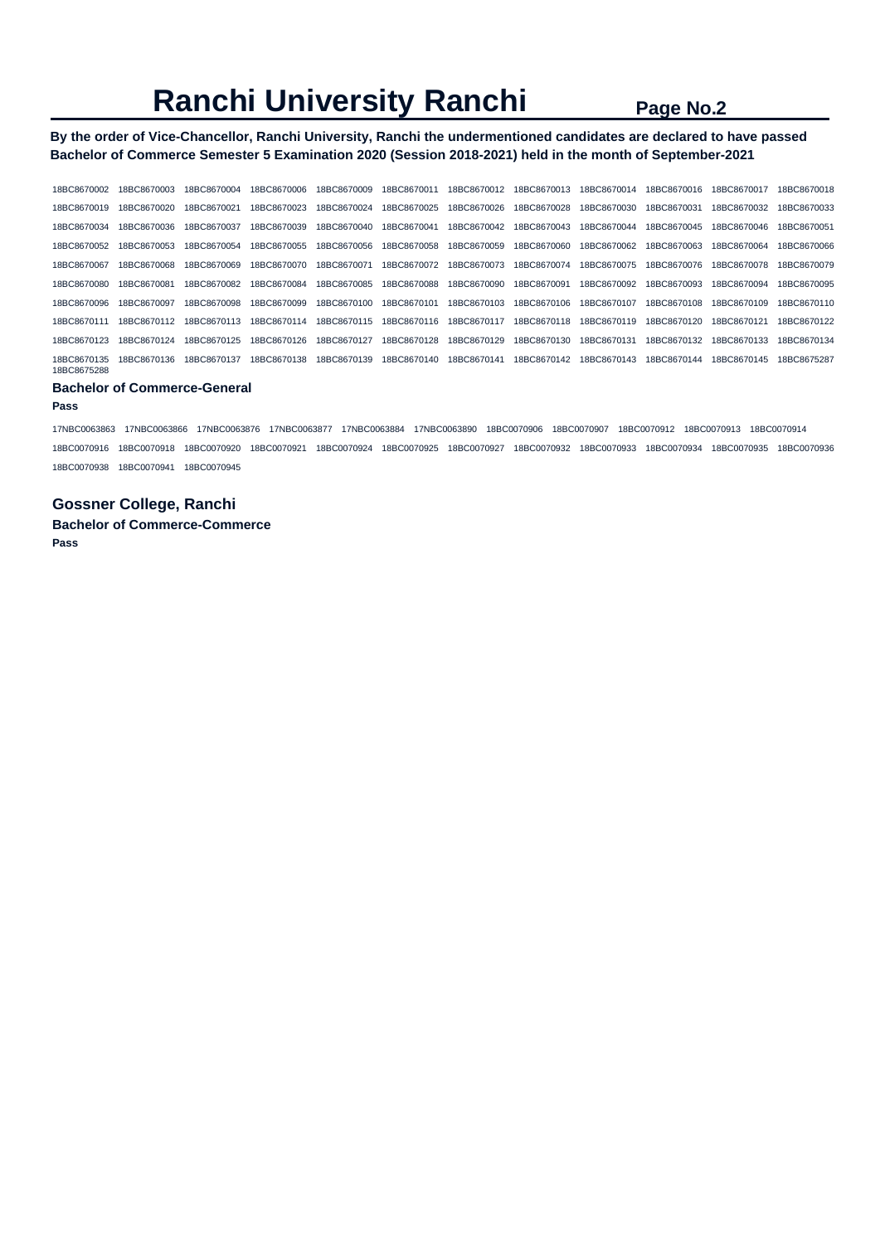**By the order of Vice-Chancellor, Ranchi University, Ranchi the undermentioned candidates are declared to have passed Bachelor of Commerce Semester 5 Examination 2020 (Session 2018-2021) held in the month of September-2021** 

| 18BC8670002                | 18BC8670003 | 18BC8670004 | 18BC8670006 | 18BC8670009 | 18BC8670011 | 18BC8670012 | 18BC8670013 | 18BC8670014 | 18BC8670016 | 18BC8670017 | 18BC8670018 |
|----------------------------|-------------|-------------|-------------|-------------|-------------|-------------|-------------|-------------|-------------|-------------|-------------|
| 18BC8670019                | 18BC8670020 | 18BC8670021 | 18BC8670023 | 18BC8670024 | 18BC8670025 | 18BC8670026 | 18BC8670028 | 18BC8670030 | 18BC8670031 | 18BC8670032 | 18BC8670033 |
| 18BC8670034                | 18BC8670036 | 18BC8670037 | 18BC8670039 | 18BC8670040 | 18BC8670041 | 18BC8670042 | 18BC8670043 | 18BC8670044 | 18BC8670045 | 18BC8670046 | 18BC8670051 |
| 18BC8670052                | 18BC8670053 | 18BC8670054 | 18BC8670055 | 18BC8670056 | 18BC8670058 | 18BC8670059 | 18BC8670060 | 18BC8670062 | 18BC8670063 | 18BC8670064 | 18BC8670066 |
| 18BC8670067                | 18BC8670068 | 18BC8670069 | 18BC8670070 | 18BC8670071 | 18BC8670072 | 18BC8670073 | 18BC8670074 | 18BC8670075 | 18BC8670076 | 18BC8670078 | 18BC8670079 |
| 18BC8670080                | 18BC8670081 | 18BC8670082 | 18BC8670084 | 18BC8670085 | 18BC8670088 | 18BC8670090 | 18BC8670091 | 18BC8670092 | 18BC8670093 | 18BC8670094 | 18BC8670095 |
| 18BC8670096                | 18BC8670097 | 18BC8670098 | 18BC8670099 | 18BC8670100 | 18BC8670101 | 18BC8670103 | 18BC8670106 | 18BC8670107 | 18BC8670108 | 18BC8670109 | 18BC8670110 |
| 18BC8670111                | 18BC8670112 | 18BC8670113 | 18BC8670114 | 18BC8670115 | 18BC8670116 | 18BC8670117 | 18BC8670118 | 18BC8670119 | 18BC8670120 | 18BC8670121 | 18BC8670122 |
| 18BC8670123                | 18BC8670124 | 18BC8670125 | 18BC8670126 | 18BC8670127 | 18BC8670128 | 18BC8670129 | 18BC8670130 | 18BC8670131 | 18BC8670132 | 18BC8670133 | 18BC8670134 |
| 18BC8670135<br>18BC8675288 | 18BC8670136 | 18BC8670137 | 18BC8670138 | 18BC8670139 | 18BC8670140 | 18BC8670141 | 18BC8670142 | 18BC8670143 | 18BC8670144 | 18BC8670145 | 18BC8675287 |

### **Bachelor of Commerce-General**

#### **Pass**

17NBC0063863 17NBC0063866 17NBC0063876 17NBC0063877 17NBC0063884 17NBC0063890 18BC0070906 18BC0070907 18BC0070912 18BC0070913 18BC0070914 18BC0070916 18BC0070918 18BC0070920 18BC0070921 18BC0070924 18BC0070925 18BC0070927 18BC0070932 18BC0070933 18BC0070934 18BC0070935 18BC0070936 18BC0070938 18BC0070941 18BC0070945

## **Gossner College, Ranchi**

**Bachelor of Commerce-Commerce Pass**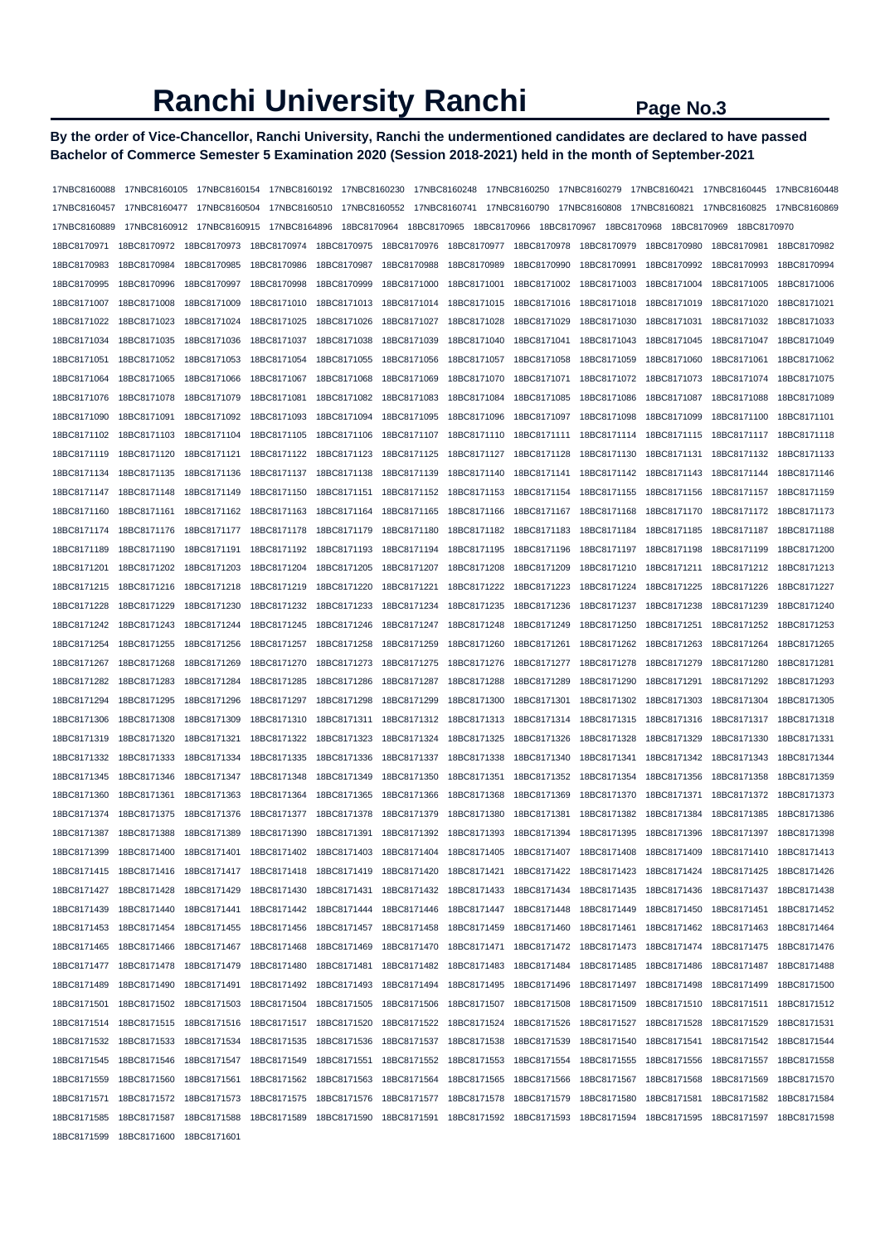## **By the order of Vice-Chancellor, Ranchi University, Ranchi the undermentioned candidates are declared to have passed Bachelor of Commerce Semester 5 Examination 2020 (Session 2018-2021) held in the month of September-2021**

| 17NBC8160088 | 17NBC8160105                                                                 |              |                         |              | 17NBC8160248            |                            |             |                            |              | 17NBC8160445 | 17NBC8160448 |
|--------------|------------------------------------------------------------------------------|--------------|-------------------------|--------------|-------------------------|----------------------------|-------------|----------------------------|--------------|--------------|--------------|
| 17NBC8160457 | 17NBC8160477                                                                 | 17NBC8160504 | 17NBC8160510            | 17NBC8160552 |                         | 17NBC8160741  17NBC8160790 |             | 17NBC8160808               | 17NBC8160821 | 17NBC8160825 | 17NBC8160869 |
| 17NBC8160889 | 17NBC8160912                                                                 | 17NBC8160915 | 17NBC8164896            | 18BC8170964  | 18BC8170965             | 18BC8170966                |             | 18BC8170967<br>18BC8170968 | 18BC8170969  | 18BC8170970  |              |
| 18BC8170971  | 18BC8170972                                                                  | 18BC8170973  | 18BC8170974             | 18BC8170975  | 18BC8170976             | 18BC8170977                | 18BC8170978 | 18BC8170979                | 18BC8170980  | 18BC8170981  | 18BC8170982  |
| 18BC8170983  | 18BC8170984                                                                  | 18BC8170985  | 18BC8170986             | 18BC8170987  | 18BC8170988             | 18BC8170989                | 18BC8170990 | 18BC8170991                | 18BC8170992  | 18BC8170993  | 18BC8170994  |
| 18BC8170995  | 18BC8170996                                                                  | 18BC8170997  | 18BC8170998             | 18BC8170999  | 18BC8171000             | 18BC8171001                | 18BC8171002 | 18BC8171003                | 18BC8171004  | 18BC8171005  | 18BC8171006  |
| 18BC8171007  | 18BC8171008                                                                  | 18BC8171009  | 18BC8171010             | 18BC8171013  | 18BC8171014             | 18BC8171015                | 18BC8171016 | 18BC8171018                | 18BC8171019  | 18BC8171020  | 18BC8171021  |
| 18BC8171022  | 18BC8171023                                                                  | 18BC8171024  | 18BC8171025             | 18BC8171026  | 18BC8171027             | 18BC8171028                | 18BC8171029 | 18BC8171030                | 18BC8171031  | 18BC8171032  | 18BC8171033  |
| 18BC8171034  | 18BC8171035                                                                  | 18BC8171036  | 18BC8171037             | 18BC8171038  | 18BC8171039             | 18BC8171040                | 18BC8171041 | 18BC8171043                | 18BC8171045  | 18BC8171047  | 18BC8171049  |
| 18BC8171051  | 18BC8171052                                                                  | 18BC8171053  | 18BC8171054             | 18BC8171055  | 18BC8171056             | 18BC8171057                | 18BC8171058 | 18BC8171059                | 18BC8171060  | 18BC8171061  | 18BC8171062  |
| 18BC8171064  | 18BC8171065                                                                  | 18BC8171066  | 18BC8171067             | 18BC8171068  | 18BC8171069             | 18BC8171070                | 18BC8171071 | 18BC8171072                | 18BC8171073  | 18BC8171074  | 18BC8171075  |
| 18BC8171076  | 18BC8171078                                                                  | 18BC8171079  | 18BC8171081             | 18BC8171082  | 18BC8171083             | 18BC8171084                | 18BC8171085 | 18BC8171086                | 18BC8171087  | 18BC8171088  | 18BC8171089  |
| 18BC8171090  | 18BC8171091                                                                  | 18BC8171092  | 18BC8171093             | 18BC8171094  | 18BC8171095             | 18BC8171096                | 18BC8171097 | 18BC8171098                | 18BC8171099  | 18BC8171100  | 18BC8171101  |
| 18BC8171102  | 18BC8171103                                                                  | 18BC8171104  | 18BC8171105             | 18BC8171106  | 18BC8171107             | 18BC8171110                | 18BC8171111 | 18BC8171114                | 18BC8171115  | 18BC8171117  | 18BC8171118  |
| 18BC8171119  | 18BC8171120                                                                  | 18BC8171121  | 18BC8171122             | 18BC8171123  | 18BC8171125             | 18BC8171127                | 18BC8171128 | 18BC8171130                | 18BC8171131  | 18BC8171132  | 18BC8171133  |
| 18BC8171134  | 18BC8171135                                                                  | 18BC8171136  | 18BC8171137             | 18BC8171138  | 18BC8171139             | 18BC8171140                | 18BC8171141 | 18BC8171142                | 18BC8171143  | 18BC8171144  | 18BC8171146  |
| 18BC8171147  | 18BC8171148                                                                  | 18BC8171149  | 18BC8171150             | 18BC8171151  | 18BC8171152             | 18BC8171153                | 18BC8171154 | 18BC8171155                | 18BC8171156  | 18BC8171157  | 18BC8171159  |
| 18BC8171160  | 18BC8171161                                                                  | 18BC8171162  | 18BC8171163             | 18BC8171164  | 18BC8171165             | 18BC8171166                | 18BC8171167 | 18BC8171168                | 18BC8171170  | 18BC8171172  | 18BC8171173  |
| 18BC8171174  | 18BC8171176                                                                  | 18BC8171177  | 18BC8171178             | 18BC8171179  | 18BC8171180             | 18BC8171182                | 18BC8171183 | 18BC8171184                | 18BC8171185  | 18BC8171187  | 18BC8171188  |
| 18BC8171189  | 18BC8171190                                                                  | 18BC8171191  | 18BC8171192             | 18BC8171193  | 18BC8171194             | 18BC8171195                | 18BC8171196 | 18BC8171197                | 18BC8171198  | 18BC8171199  | 18BC8171200  |
| 18BC8171201  | 18BC8171202                                                                  | 18BC8171203  | 18BC8171204             | 18BC8171205  | 18BC8171207             | 18BC8171208                | 18BC8171209 | 18BC8171210                | 18BC8171211  | 18BC8171212  | 18BC8171213  |
| 18BC8171215  | 18BC8171216                                                                  | 18BC8171218  | 18BC8171219             | 18BC8171220  | 18BC8171221             | 18BC8171222                | 18BC8171223 | 18BC8171224                | 18BC8171225  | 18BC8171226  | 18BC8171227  |
| 18BC8171228  | 18BC8171229                                                                  | 18BC8171230  | 18BC8171232             | 18BC8171233  | 18BC8171234             | 18BC8171235                | 18BC8171236 | 18BC8171237                | 18BC8171238  | 18BC8171239  | 18BC8171240  |
| 18BC8171242  | 18BC8171243                                                                  | 18BC8171244  | 18BC8171245             | 18BC8171246  | 18BC8171247             | 18BC8171248                | 18BC8171249 | 18BC8171250                | 18BC8171251  | 18BC8171252  | 18BC8171253  |
| 18BC8171254  | 18BC8171255                                                                  | 18BC8171256  | 18BC8171257             | 18BC8171258  | 18BC8171259             | 18BC8171260                | 18BC8171261 | 18BC8171262                | 18BC8171263  | 18BC8171264  | 18BC8171265  |
| 18BC8171267  | 18BC8171268                                                                  | 18BC8171269  | 18BC8171270             | 18BC8171273  | 18BC8171275             | 18BC8171276                | 18BC8171277 | 18BC8171278                | 18BC8171279  | 18BC8171280  | 18BC8171281  |
| 18BC8171282  | 18BC8171283                                                                  | 18BC8171284  | 18BC8171285             | 18BC8171286  | 18BC8171287             | 18BC8171288                | 18BC8171289 | 18BC8171290                | 18BC8171291  | 18BC8171292  | 18BC8171293  |
| 18BC8171294  | 18BC8171295                                                                  | 18BC8171296  | 18BC8171297             | 18BC8171298  | 18BC8171299             | 18BC8171300                | 18BC8171301 | 18BC8171302                | 18BC8171303  | 18BC8171304  | 18BC8171305  |
| 18BC8171306  | 18BC8171308                                                                  | 18BC8171309  | 18BC8171310             | 18BC8171311  | 18BC8171312             | 18BC8171313                | 18BC8171314 | 18BC8171315                | 18BC8171316  | 18BC8171317  | 18BC8171318  |
| 18BC8171319  | 18BC8171320                                                                  | 18BC8171321  | 18BC8171322             | 18BC8171323  | 18BC8171324             | 18BC8171325                | 18BC8171326 | 18BC8171328                | 18BC8171329  | 18BC8171330  | 18BC8171331  |
| 18BC8171332  | 18BC8171333                                                                  | 18BC8171334  | 18BC8171335             | 18BC8171336  | 18BC8171337             | 18BC8171338                | 18BC8171340 | 18BC8171341                | 18BC8171342  | 18BC8171343  | 18BC8171344  |
| 18BC8171345  | 18BC8171346                                                                  | 18BC8171347  | 18BC8171348             | 18BC8171349  | 18BC8171350             | 18BC8171351                | 18BC8171352 | 18BC8171354                | 18BC8171356  | 18BC8171358  | 18BC8171359  |
| 18BC8171360  | 18BC8171361                                                                  | 18BC8171363  | 18BC8171364             | 18BC8171365  | 18BC8171366             | 18BC8171368                | 18BC8171369 | 18BC8171370                | 18BC8171371  | 18BC8171372  | 18BC8171373  |
| 18BC8171374  | 18BC8171375                                                                  | 18BC8171376  | 18BC8171377             | 18BC8171378  | 18BC8171379             | 18BC8171380                | 18BC8171381 | 18BC8171382                | 18BC8171384  | 18BC8171385  | 18BC8171386  |
| 18BC8171387  | 18BC8171388                                                                  | 18BC8171389  | 18BC8171390             | 18BC8171391  | 18BC8171392             | 18BC8171393                | 18BC8171394 | 18BC8171395                | 18BC8171396  | 18BC8171397  | 18BC8171398  |
| 18BC8171399  | 18BC8171400  18BC8171401  18BC8171402  18BC8171403  18BC8171404  18BC8171405 |              |                         |              |                         |                            |             | 18BC8171407 18BC8171408    | 18BC8171409  | 18BC8171410  | 18BC8171413  |
| 18BC8171415  | 18BC8171416                                                                  | 18BC8171417  | 18BC8171418 18BC8171419 |              | 18BC8171420             | 18BC8171421                |             | 18BC8171422 18BC8171423    | 18BC8171424  | 18BC8171425  | 18BC8171426  |
| 18BC8171427  | 18BC8171428                                                                  | 18BC8171429  | 18BC8171430             | 18BC8171431  | 18BC8171432             | 18BC8171433                | 18BC8171434 | 18BC8171435                | 18BC8171436  | 18BC8171437  | 18BC8171438  |
| 18BC8171439  | 18BC8171440                                                                  | 18BC8171441  | 18BC8171442             | 18BC8171444  | 18BC8171446             | 18BC8171447                | 18BC8171448 | 18BC8171449                | 18BC8171450  | 18BC8171451  | 18BC8171452  |
| 18BC8171453  | 18BC8171454                                                                  | 18BC8171455  | 18BC8171456             | 18BC8171457  | 18BC8171458             | 18BC8171459                | 18BC8171460 | 18BC8171461                | 18BC8171462  | 18BC8171463  | 18BC8171464  |
| 18BC8171465  | 18BC8171466                                                                  | 18BC8171467  | 18BC8171468             | 18BC8171469  | 18BC8171470             | 18BC8171471                |             | 18BC8171472 18BC8171473    | 18BC8171474  | 18BC8171475  | 18BC8171476  |
| 18BC8171477  | 18BC8171478                                                                  | 18BC8171479  | 18BC8171480             | 18BC8171481  | 18BC8171482             | 18BC8171483                | 18BC8171484 | 18BC8171485                | 18BC8171486  | 18BC8171487  | 18BC8171488  |
| 18BC8171489  | 18BC8171490                                                                  | 18BC8171491  | 18BC8171492             | 18BC8171493  | 18BC8171494 18BC8171495 |                            | 18BC8171496 | 18BC8171497                | 18BC8171498  | 18BC8171499  | 18BC8171500  |
| 18BC8171501  | 18BC8171502                                                                  | 18BC8171503  | 18BC8171504             | 18BC8171505  | 18BC8171506             | 18BC8171507                |             | 18BC8171508 18BC8171509    | 18BC8171510  | 18BC8171511  | 18BC8171512  |
| 18BC8171514  | 18BC8171515 18BC8171516                                                      |              | 18BC8171517             | 18BC8171520  | 18BC8171522 18BC8171524 |                            | 18BC8171526 | 18BC8171527                | 18BC8171528  | 18BC8171529  | 18BC8171531  |
| 18BC8171532  | 18BC8171533                                                                  | 18BC8171534  | 18BC8171535             | 18BC8171536  | 18BC8171537             | 18BC8171538                | 18BC8171539 | 18BC8171540                | 18BC8171541  | 18BC8171542  | 18BC8171544  |
| 18BC8171545  | 18BC8171546                                                                  | 18BC8171547  | 18BC8171549             | 18BC8171551  | 18BC8171552             | 18BC8171553                | 18BC8171554 | 18BC8171555                | 18BC8171556  | 18BC8171557  | 18BC8171558  |
| 18BC8171559  | 18BC8171560                                                                  | 18BC8171561  | 18BC8171562             | 18BC8171563  | 18BC8171564             | 18BC8171565                | 18BC8171566 | 18BC8171567                | 18BC8171568  | 18BC8171569  | 18BC8171570  |
| 18BC8171571  | 18BC8171572                                                                  | 18BC8171573  | 18BC8171575             | 18BC8171576  | 18BC8171577             | 18BC8171578                | 18BC8171579 | 18BC8171580                | 18BC8171581  | 18BC8171582  | 18BC8171584  |
| 18BC8171585  | 18BC8171587                                                                  | 18BC8171588  | 18BC8171589             | 18BC8171590  |                         |                            |             |                            | 18BC8171595  | 18BC8171597  | 18BC8171598  |
| 18BC8171599  | 18BC8171600 18BC8171601                                                      |              |                         |              |                         |                            |             |                            |              |              |              |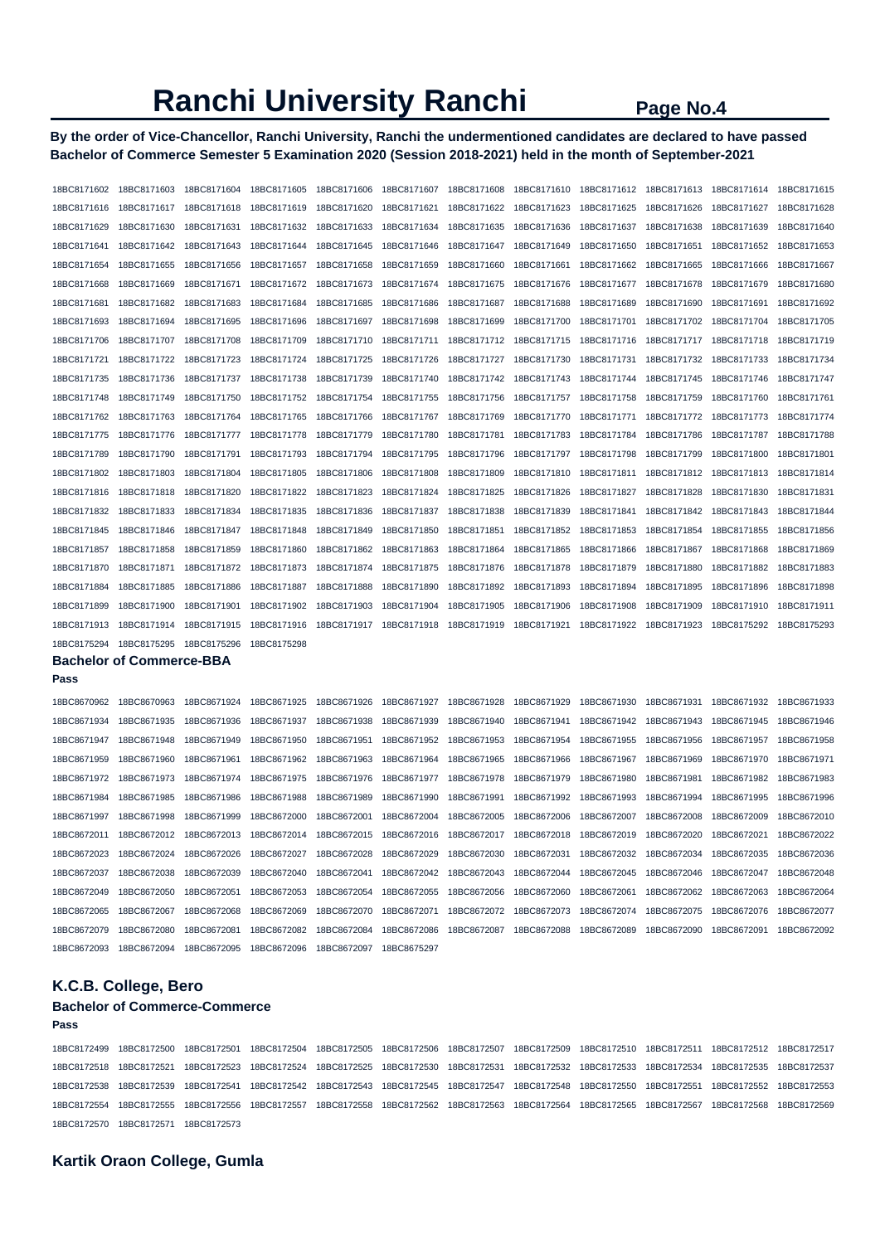**By the order of Vice-Chancellor, Ranchi University, Ranchi the undermentioned candidates are declared to have passed Bachelor of Commerce Semester 5 Examination 2020 (Session 2018-2021) held in the month of September-2021** 

| 18BC8171602 | 18BC8171603                     | 18BC8171604 | 18BC8171605 | 18BC8171606 | 18BC8171607 | 18BC8171608 | 18BC8171610 | 18BC8171612 | 18BC8171613 | 18BC8171614 | 18BC8171615 |
|-------------|---------------------------------|-------------|-------------|-------------|-------------|-------------|-------------|-------------|-------------|-------------|-------------|
| 18BC8171616 | 18BC8171617                     | 18BC8171618 | 18BC8171619 | 18BC8171620 | 18BC8171621 | 18BC8171622 | 18BC8171623 | 18BC8171625 | 18BC8171626 | 18BC8171627 | 18BC8171628 |
| 18BC8171629 | 18BC8171630                     | 18BC8171631 | 18BC8171632 | 18BC8171633 | 18BC8171634 | 18BC8171635 | 18BC8171636 | 18BC8171637 | 18BC8171638 | 18BC8171639 | 18BC8171640 |
| 18BC8171641 | 18BC8171642                     | 18BC8171643 | 18BC8171644 | 18BC8171645 | 18BC8171646 | 18BC8171647 | 18BC8171649 | 18BC8171650 | 18BC8171651 | 18BC8171652 | 18BC8171653 |
| 18BC8171654 | 18BC8171655                     | 18BC8171656 | 18BC8171657 | 18BC8171658 | 18BC8171659 | 18BC8171660 | 18BC8171661 | 18BC8171662 | 18BC8171665 | 18BC8171666 | 18BC8171667 |
| 18BC8171668 | 18BC8171669                     | 18BC8171671 | 18BC8171672 | 18BC8171673 | 18BC8171674 | 18BC8171675 | 18BC8171676 | 18BC8171677 | 18BC8171678 | 18BC8171679 | 18BC8171680 |
| 18BC8171681 | 18BC8171682                     | 18BC8171683 | 18BC8171684 | 18BC8171685 | 18BC8171686 | 18BC8171687 | 18BC8171688 | 18BC8171689 | 18BC8171690 | 18BC8171691 | 18BC8171692 |
| 18BC8171693 | 18BC8171694                     | 18BC8171695 | 18BC8171696 | 18BC8171697 | 18BC8171698 | 18BC8171699 | 18BC8171700 | 18BC8171701 | 18BC8171702 | 18BC8171704 | 18BC8171705 |
| 18BC8171706 | 18BC8171707                     | 18BC8171708 | 18BC8171709 | 18BC8171710 | 18BC8171711 | 18BC8171712 | 18BC8171715 | 18BC8171716 | 18BC8171717 | 18BC8171718 | 18BC8171719 |
| 18BC8171721 | 18BC8171722                     | 18BC8171723 | 18BC8171724 | 18BC8171725 | 18BC8171726 | 18BC8171727 | 18BC8171730 | 18BC8171731 | 18BC8171732 | 18BC8171733 | 18BC8171734 |
| 18BC8171735 | 18BC8171736                     | 18BC8171737 | 18BC8171738 | 18BC8171739 | 18BC8171740 | 18BC8171742 | 18BC8171743 | 18BC8171744 | 18BC8171745 | 18BC8171746 | 18BC8171747 |
| 18BC8171748 | 18BC8171749                     | 18BC8171750 | 18BC8171752 | 18BC8171754 | 18BC8171755 | 18BC8171756 | 18BC8171757 | 18BC8171758 | 18BC8171759 | 18BC8171760 | 18BC8171761 |
| 18BC8171762 | 18BC8171763                     | 18BC8171764 | 18BC8171765 | 18BC8171766 | 18BC8171767 | 18BC8171769 | 18BC8171770 | 18BC8171771 | 18BC8171772 | 18BC8171773 | 18BC8171774 |
| 18BC8171775 | 18BC8171776                     | 18BC8171777 | 18BC8171778 | 18BC8171779 | 18BC8171780 | 18BC8171781 | 18BC8171783 | 18BC8171784 | 18BC8171786 | 18BC8171787 | 18BC8171788 |
| 18BC8171789 | 18BC8171790                     | 18BC8171791 | 18BC8171793 | 18BC8171794 | 18BC8171795 | 18BC8171796 | 18BC8171797 | 18BC8171798 | 18BC8171799 | 18BC8171800 | 18BC8171801 |
| 18BC8171802 | 18BC8171803                     | 18BC8171804 | 18BC8171805 | 18BC8171806 | 18BC8171808 | 18BC8171809 | 18BC8171810 | 18BC8171811 | 18BC8171812 | 18BC8171813 | 18BC8171814 |
| 18BC8171816 | 18BC8171818                     | 18BC8171820 | 18BC8171822 | 18BC8171823 | 18BC8171824 | 18BC8171825 | 18BC8171826 | 18BC8171827 | 18BC8171828 | 18BC8171830 | 18BC8171831 |
| 18BC8171832 | 18BC8171833                     | 18BC8171834 | 18BC8171835 | 18BC8171836 | 18BC8171837 | 18BC8171838 | 18BC8171839 | 18BC8171841 | 18BC8171842 | 18BC8171843 | 18BC8171844 |
| 18BC8171845 | 18BC8171846                     | 18BC8171847 | 18BC8171848 | 18BC8171849 | 18BC8171850 | 18BC8171851 | 18BC8171852 | 18BC8171853 | 18BC8171854 | 18BC8171855 | 18BC8171856 |
| 18BC8171857 | 18BC8171858                     | 18BC8171859 | 18BC8171860 | 18BC8171862 | 18BC8171863 | 18BC8171864 | 18BC8171865 | 18BC8171866 | 18BC8171867 | 18BC8171868 | 18BC8171869 |
| 18BC8171870 | 18BC8171871                     | 18BC8171872 | 18BC8171873 | 18BC8171874 | 18BC8171875 | 18BC8171876 | 18BC8171878 | 18BC8171879 | 18BC8171880 | 18BC8171882 | 18BC8171883 |
| 18BC8171884 | 18BC8171885                     | 18BC8171886 | 18BC8171887 | 18BC8171888 | 18BC8171890 | 18BC8171892 | 18BC8171893 | 18BC8171894 | 18BC8171895 | 18BC8171896 | 18BC8171898 |
| 18BC8171899 | 18BC8171900                     | 18BC8171901 | 18BC8171902 | 18BC8171903 | 18BC8171904 | 18BC8171905 | 18BC8171906 | 18BC8171908 | 18BC8171909 | 18BC8171910 | 18BC8171911 |
| 18BC8171913 | 18BC8171914                     | 18BC8171915 | 18BC8171916 | 18BC8171917 | 18BC8171918 | 18BC8171919 | 18BC8171921 | 18BC8171922 | 18BC8171923 | 18BC8175292 | 18BC8175293 |
| 18BC8175294 | 18BC8175295                     | 18BC8175296 | 18BC8175298 |             |             |             |             |             |             |             |             |
|             | <b>Bachelor of Commerce-BBA</b> |             |             |             |             |             |             |             |             |             |             |
| Pass        |                                 |             |             |             |             |             |             |             |             |             |             |
| 18BC8670962 | 18BC8670963                     | 18BC8671924 | 18BC8671925 | 18BC8671926 | 18BC8671927 | 18BC8671928 | 18BC8671929 | 18BC8671930 | 18BC8671931 | 18BC8671932 | 18BC8671933 |
| 18BC8671934 | 18BC8671935                     | 18BC8671936 | 18BC8671937 | 18BC8671938 | 18BC8671939 | 18BC8671940 | 18BC8671941 | 18BC8671942 | 18BC8671943 | 18BC8671945 | 18BC8671946 |
| 18BC8671947 | 18BC8671948                     | 18BC8671949 | 18BC8671950 | 18BC8671951 | 18BC8671952 | 18BC8671953 | 18BC8671954 | 18BC8671955 | 18BC8671956 | 18BC8671957 | 18BC8671958 |
| 18BC8671959 | 18BC8671960                     | 18BC8671961 | 18BC8671962 | 18BC8671963 | 18BC8671964 | 18BC8671965 | 18BC8671966 | 18BC8671967 | 18BC8671969 | 18BC8671970 | 18BC8671971 |
| 18BC8671972 | 18BC8671973                     | 18BC8671974 | 18BC8671975 | 18BC8671976 | 18BC8671977 | 18BC8671978 | 18BC8671979 | 18BC8671980 | 18BC8671981 | 18BC8671982 | 18BC8671983 |
| 18BC8671984 | 18BC8671985                     | 18BC8671986 | 18BC8671988 | 18BC8671989 | 18BC8671990 | 18BC8671991 | 18BC8671992 | 18BC8671993 | 18BC8671994 | 18BC8671995 | 18BC8671996 |
| 18BC8671997 | 18BC8671998                     | 18BC8671999 | 18BC8672000 | 18BC8672001 | 18BC8672004 | 18BC8672005 | 18BC8672006 | 18BC8672007 | 18BC8672008 | 18BC8672009 | 18BC8672010 |
| 18BC8672011 | 18BC8672012                     | 18BC8672013 | 18BC8672014 | 18BC8672015 | 18BC8672016 | 18BC8672017 | 18BC8672018 | 18BC8672019 | 18BC8672020 | 18BC8672021 | 18BC8672022 |
| 18BC8672023 | 18BC8672024                     | 18BC8672026 | 18BC8672027 | 18BC8672028 | 18BC8672029 | 18BC8672030 | 18BC8672031 | 18BC8672032 | 18BC8672034 | 18BC8672035 | 18BC8672036 |
| 18BC8672037 | 18BC8672038                     | 18BC8672039 | 18BC8672040 | 18BC8672041 | 18BC8672042 | 18BC8672043 | 18BC8672044 | 18BC8672045 | 18BC8672046 | 18BC8672047 | 18BC8672048 |
| 18BC8672049 | 18BC8672050                     | 18BC8672051 | 18BC8672053 | 18BC8672054 | 18BC8672055 | 18BC8672056 | 18BC8672060 | 18BC8672061 | 18BC8672062 | 18BC8672063 | 18BC8672064 |
| 18BC8672065 | 18BC8672067                     | 18BC8672068 | 18BC8672069 | 18BC8672070 | 18BC8672071 | 18BC8672072 | 18BC8672073 | 18BC8672074 | 18BC8672075 | 18BC8672076 | 18BC8672077 |
| 18BC8672079 | 18BC8672080                     | 18BC8672081 | 18BC8672082 | 18BC8672084 | 18BC8672086 | 18BC8672087 | 18BC8672088 | 18BC8672089 | 18BC8672090 | 18BC8672091 | 18BC8672092 |
| 18BC8672093 | 18BC8672094                     | 18BC8672095 | 18BC8672096 | 18BC8672097 | 18BC8675297 |             |             |             |             |             |             |

## **K.C.B. College, Bero**

### **Bachelor of Commerce-Commerce**

**Pass** 

18BC8172499 18BC8172500 18BC8172501 18BC8172504 18BC8172505 18BC8172506 18BC8172507 18BC8172509 18BC8172510 18BC8172511 18BC8172512 18BC8172517 18BC8172518 18BC8172521 18BC8172523 18BC8172524 18BC8172525 18BC8172530 18BC8172531 18BC8172532 18BC8172533 18BC8172534 18BC8172535 18BC8172537 18BC8172538 18BC8172539 18BC8172541 18BC8172542 18BC8172543 18BC8172545 18BC8172547 18BC8172548 18BC8172550 18BC8172551 18BC8172552 18BC8172553 18BC8172554 18BC8172555 18BC8172556 18BC8172557 18BC8172558 18BC8172562 18BC8172563 18BC8172564 18BC8172565 18BC8172567 18BC8172568 18BC8172569 18BC8172570 18BC8172571 18BC8172573

## **Kartik Oraon College, Gumla**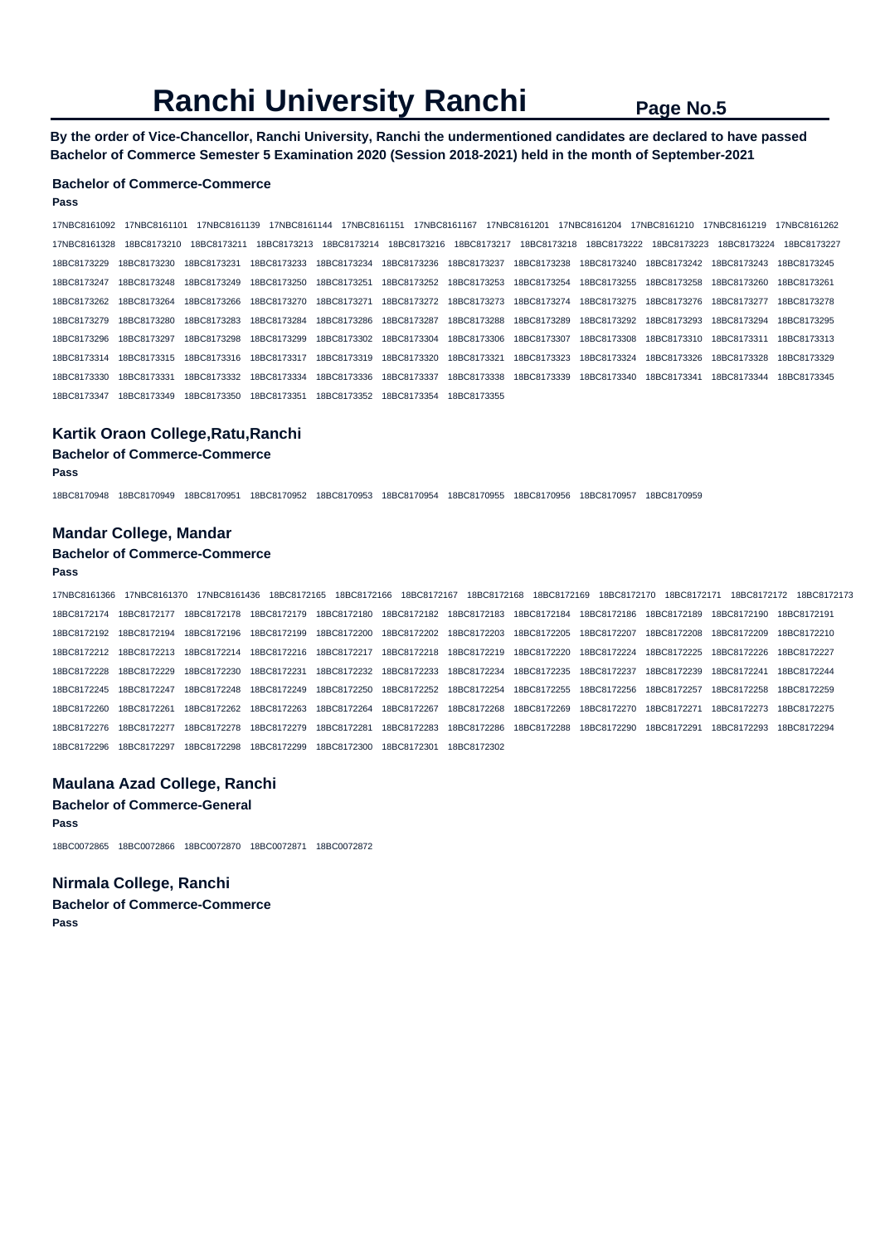**By the order of Vice-Chancellor, Ranchi University, Ranchi the undermentioned candidates are declared to have passed Bachelor of Commerce Semester 5 Examination 2020 (Session 2018-2021) held in the month of September-2021** 

### **Bachelor of Commerce-Commerce**

#### **Pass**

17NBC8161092 17NBC8161101 17NBC8161139 17NBC8161144 17NBC8161151 17NBC8161167 17NBC8161201 17NBC8161204 17NBC8161210 17NBC8161219 17NBC8161262 17NBC8161328 18BC8173210 18BC8173211 18BC8173213 18BC8173214 18BC8173216 18BC8173217 18BC8173218 18BC8173222 18BC8173223 18BC8173224 18BC8173227 18BC8173229 18BC8173230 18BC8173231 18BC8173233 18BC8173234 18BC8173236 18BC8173237 18BC8173238 18BC8173240 18BC8173242 18BC8173243 18BC8173245 18BC8173247 18BC8173248 18BC8173249 18BC8173250 18BC8173251 18BC8173252 18BC8173253 18BC8173254 18BC8173255 18BC8173258 18BC8173260 18BC8173261 18BC8173262 18BC8173264 18BC8173266 18BC8173270 18BC8173271 18BC8173272 18BC8173273 18BC8173274 18BC8173275 18BC8173276 18BC8173277 18BC8173278 18BC8173279 18BC8173280 18BC8173283 18BC8173284 18BC8173286 18BC8173287 18BC8173288 18BC8173289 18BC8173292 18BC8173293 18BC8173294 18BC8173295 18BC8173296 18BC8173297 18BC8173298 18BC8173299 18BC8173302 18BC8173304 18BC8173306 18BC8173307 18BC8173308 18BC8173310 18BC8173311 18BC8173313 18BC8173314 18BC8173315 18BC8173316 18BC8173317 18BC8173319 18BC8173320 18BC8173321 18BC8173323 18BC8173324 18BC8173326 18BC8173328 18BC8173329 18BC8173330 18BC8173331 18BC8173332 18BC8173334 18BC8173336 18BC8173337 18BC8173338 18BC8173339 18BC8173340 18BC8173341 18BC8173344 18BC8173345 18BC8173347 18BC8173349 18BC8173350 18BC8173351 18BC8173352 18BC8173354 18BC8173355

#### **Kartik Oraon College,Ratu,Ranchi**

#### **Bachelor of Commerce-Commerce**

**Pass** 

18BC8170948 18BC8170949 18BC8170951 18BC8170952 18BC8170953 18BC8170954 18BC8170955 18BC8170956 18BC8170957 18BC8170959

#### **Mandar College, Mandar**

#### **Bachelor of Commerce-Commerce**

#### **Pass**

17NBC8161366 17NBC8161370 17NBC8161436 18BC8172165 18BC8172166 18BC8172167 18BC8172168 18BC8172169 18BC8172170 18BC8172171 18BC8172172 18BC8172173 18BC8172174 18BC8172177 18BC8172178 18BC8172179 18BC8172180 18BC8172182 18BC8172183 18BC8172184 18BC8172186 18BC8172189 18BC8172190 18BC8172191 18BC8172192 18BC8172194 18BC8172196 18BC8172199 18BC8172200 18BC8172202 18BC8172203 18BC8172205 18BC8172207 18BC8172208 18BC8172209 18BC8172210 18BC8172212 18BC8172213 18BC8172214 18BC8172216 18BC8172217 18BC8172218 18BC8172219 18BC8172220 18BC8172224 18BC8172225 18BC8172226 18BC8172227 18BC8172228 18BC8172229 18BC8172230 18BC8172231 18BC8172232 18BC8172233 18BC8172234 18BC8172235 18BC8172237 18BC8172239 18BC8172241 18BC8172244 18BC8172245 18BC8172247 18BC8172248 18BC8172249 18BC8172250 18BC8172252 18BC8172254 18BC8172255 18BC8172256 18BC8172257 18BC8172258 18BC8172259 18BC8172260 18BC8172261 18BC8172262 18BC8172263 18BC8172264 18BC8172267 18BC8172268 18BC8172269 18BC8172270 18BC8172271 18BC8172273 18BC8172275 18BC8172276 18BC8172277 18BC8172278 18BC8172279 18BC8172281 18BC8172283 18BC8172286 18BC8172288 18BC8172290 18BC8172291 18BC8172293 18BC8172294 18BC8172296 18BC8172297 18BC8172298 18BC8172299 18BC8172300 18BC8172301 18BC8172302

#### **Maulana Azad College, Ranchi**

**Bachelor of Commerce-General Pass** 

18BC0072865 18BC0072866 18BC0072870 18BC0072871 18BC0072872

### **Nirmala College, Ranchi**

**Bachelor of Commerce-Commerce Pass**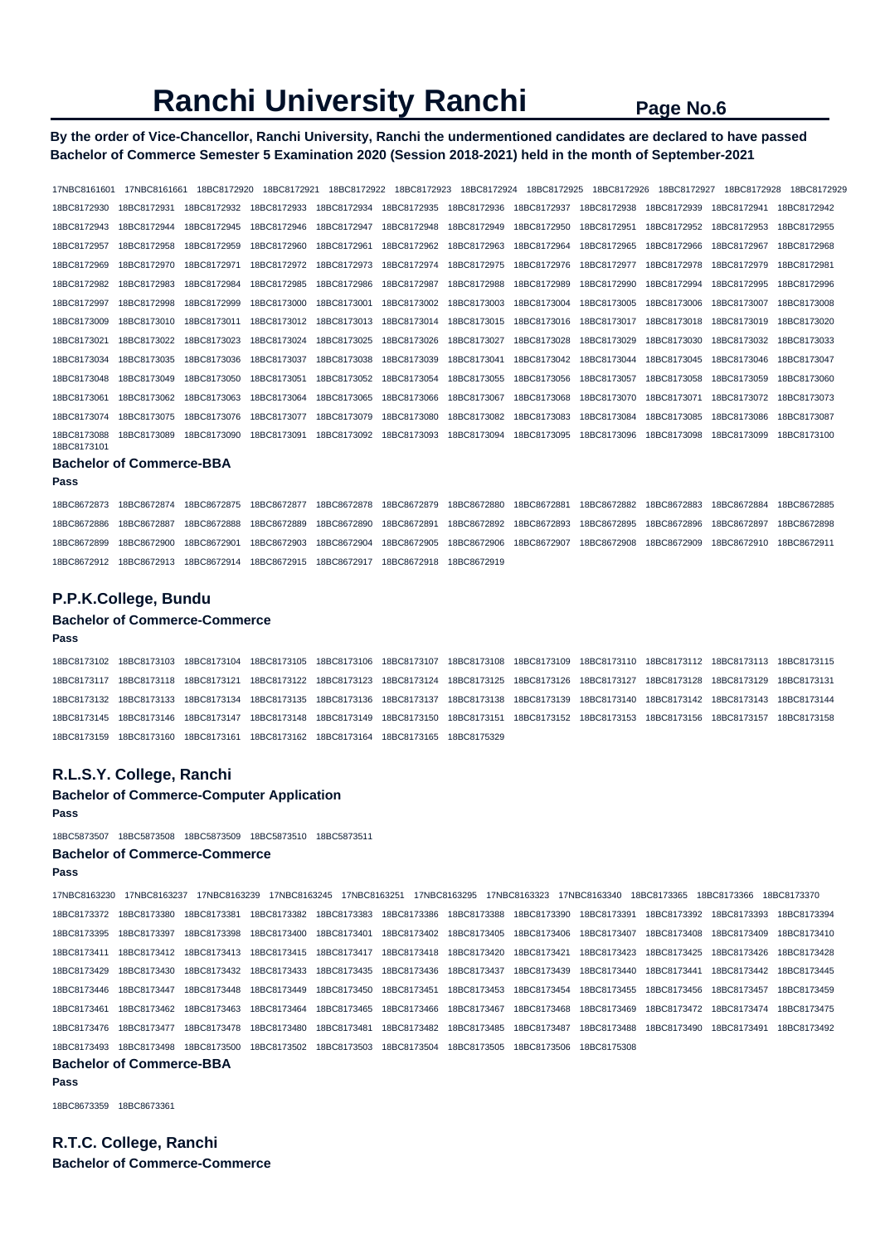## **By the order of Vice-Chancellor, Ranchi University, Ranchi the undermentioned candidates are declared to have passed Bachelor of Commerce Semester 5 Examination 2020 (Session 2018-2021) held in the month of September-2021**

| 17NBC8161601                    | 17NBC8161661 | 18BC8172920 | 18BC8172921 | 18BC8172922 | 18BC8172923 | 18BC8172924 | 18BC8172925 | 18BC8172926 | 18BC8172927 | 18BC8172928 | 18BC8172929 |
|---------------------------------|--------------|-------------|-------------|-------------|-------------|-------------|-------------|-------------|-------------|-------------|-------------|
| 18BC8172930                     | 18BC8172931  | 18BC8172932 | 18BC8172933 | 18BC8172934 | 18BC8172935 | 18BC8172936 | 18BC8172937 | 18BC8172938 | 18BC8172939 | 18BC8172941 | 18BC8172942 |
| 18BC8172943                     | 18BC8172944  | 18BC8172945 | 18BC8172946 | 18BC8172947 | 18BC8172948 | 18BC8172949 | 18BC8172950 | 18BC8172951 | 18BC8172952 | 18BC8172953 | 18BC8172955 |
| 18BC8172957                     | 18BC8172958  | 18BC8172959 | 18BC8172960 | 18BC8172961 | 18BC8172962 | 18BC8172963 | 18BC8172964 | 18BC8172965 | 18BC8172966 | 18BC8172967 | 18BC8172968 |
| 18BC8172969                     | 18BC8172970  | 18BC8172971 | 18BC8172972 | 18BC8172973 | 18BC8172974 | 18BC8172975 | 18BC8172976 | 18BC8172977 | 18BC8172978 | 18BC8172979 | 18BC8172981 |
| 18BC8172982                     | 18BC8172983  | 18BC8172984 | 18BC8172985 | 18BC8172986 | 18BC8172987 | 18BC8172988 | 18BC8172989 | 18BC8172990 | 18BC8172994 | 18BC8172995 | 18BC8172996 |
| 18BC8172997                     | 18BC8172998  | 18BC8172999 | 18BC8173000 | 18BC8173001 | 18BC8173002 | 18BC8173003 | 18BC8173004 | 18BC8173005 | 18BC8173006 | 18BC8173007 | 18BC8173008 |
| 18BC8173009                     | 18BC8173010  | 18BC8173011 | 18BC8173012 | 18BC8173013 | 18BC8173014 | 18BC8173015 | 18BC8173016 | 18BC8173017 | 18BC8173018 | 18BC8173019 | 18BC8173020 |
| 18BC8173021                     | 18BC8173022  | 18BC8173023 | 18BC8173024 | 18BC8173025 | 18BC8173026 | 18BC8173027 | 18BC8173028 | 18BC8173029 | 18BC8173030 | 18BC8173032 | 18BC8173033 |
| 18BC8173034                     | 18BC8173035  | 18BC8173036 | 18BC8173037 | 18BC8173038 | 18BC8173039 | 18BC8173041 | 18BC8173042 | 18BC8173044 | 18BC8173045 | 18BC8173046 | 18BC8173047 |
| 18BC8173048                     | 18BC8173049  | 18BC8173050 | 18BC8173051 | 18BC8173052 | 18BC8173054 | 18BC8173055 | 18BC8173056 | 18BC8173057 | 18BC8173058 | 18BC8173059 | 18BC8173060 |
| 18BC8173061                     | 18BC8173062  | 18BC8173063 | 18BC8173064 | 18BC8173065 | 18BC8173066 | 18BC8173067 | 18BC8173068 | 18BC8173070 | 18BC8173071 | 18BC8173072 | 18BC8173073 |
| 18BC8173074                     | 18BC8173075  | 18BC8173076 | 18BC8173077 | 18BC8173079 | 18BC8173080 | 18BC8173082 | 18BC8173083 | 18BC8173084 | 18BC8173085 | 18BC8173086 | 18BC8173087 |
| 18BC8173088<br>18BC8173101      | 18BC8173089  | 18BC8173090 | 18BC8173091 | 18BC8173092 | 18BC8173093 | 18BC8173094 | 18BC8173095 | 18BC8173096 | 18BC8173098 | 18BC8173099 | 18BC8173100 |
| <b>Bachelor of Commerce-BBA</b> |              |             |             |             |             |             |             |             |             |             |             |
| Pass                            |              |             |             |             |             |             |             |             |             |             |             |

| 18BC8672873 18BC8672874 18BC8672875 18BC8672877 18BC8672878 18BC8672879 18BC8672880 18BC8672881 18BC8672882 18BC8672883 18BC8672884 18BC8672885 |  |  |             |  |  |  |
|-------------------------------------------------------------------------------------------------------------------------------------------------|--|--|-------------|--|--|--|
| 18BC8672886 18BC8672887 18BC8672888 18BC8672889 18BC8672890 18BC8672891 18BC8672892 18BC8672893 18BC8672895 18BC8672896 18BC8672897 18BC8672898 |  |  |             |  |  |  |
| 18BC8672899 18BC8672900 18BC8672901 18BC8672903 18BC8672904 18BC8672905 18BC8672906 18BC8672907 18BC8672908 18BC8672909 18BC8672910 18BC8672911 |  |  |             |  |  |  |
| 18BC8672912  18BC8672913  18BC8672914  18BC8672915  18BC8672917  18BC8672918                                                                    |  |  | 18BC8672919 |  |  |  |

### **P.P.K.College, Bundu**

#### **Bachelor of Commerce-Commerce**

**Pass** 

18BC8173102 18BC8173103 18BC8173104 18BC8173105 18BC8173106 18BC8173107 18BC8173108 18BC8173109 18BC8173110 18BC8173112 18BC8173113 18BC8173115 18BC8173117 18BC8173118 18BC8173121 18BC8173122 18BC8173123 18BC8173124 18BC8173125 18BC8173126 18BC8173127 18BC8173128 18BC8173129 18BC8173131 18BC8173132 18BC8173133 18BC8173134 18BC8173135 18BC8173136 18BC8173137 18BC8173138 18BC8173139 18BC8173140 18BC8173142 18BC8173143 18BC8173144 18BC8173145 18BC8173146 18BC8173147 18BC8173148 18BC8173149 18BC8173150 18BC8173151 18BC8173152 18BC8173153 18BC8173156 18BC8173157 18BC8173158 18BC8173159 18BC8173160 18BC8173161 18BC8173162 18BC8173164 18BC8173165 18BC8175329

#### **R.L.S.Y. College, Ranchi**

#### **Bachelor of Commerce-Computer Application**

**Pass** 

18BC5873507 18BC5873508 18BC5873509 18BC5873510 18BC5873511

#### **Bachelor of Commerce-Commerce**

**Pass** 

17NBC8163230 17NBC8163237 17NBC8163239 17NBC8163245 17NBC8163251 17NBC8163295 17NBC8163323 17NBC8163340 18BC8173365 18BC8173366 18BC8173370 18BC8173372 18BC8173380 18BC8173381 18BC8173382 18BC8173383 18BC8173386 18BC8173388 18BC8173390 18BC8173391 18BC8173392 18BC8173393 18BC8173394 18BC8173395 18BC8173397 18BC8173398 18BC8173400 18BC8173401 18BC8173402 18BC8173405 18BC8173406 18BC8173407 18BC8173408 18BC8173409 18BC8173410 18BC8173411 18BC8173412 18BC8173413 18BC8173415 18BC8173417 18BC8173418 18BC8173420 18BC8173421 18BC8173423 18BC8173425 18BC8173426 18BC8173428 18BC8173429 18BC8173430 18BC8173432 18BC8173433 18BC8173435 18BC8173436 18BC8173437 18BC8173439 18BC8173440 18BC8173441 18BC8173442 18BC8173445 18BC8173446 18BC8173447 18BC8173448 18BC8173449 18BC8173450 18BC8173451 18BC8173453 18BC8173454 18BC8173455 18BC8173456 18BC8173457 18BC8173459 18BC8173461 18BC8173462 18BC8173463 18BC8173464 18BC8173465 18BC8173466 18BC8173467 18BC8173468 18BC8173469 18BC8173472 18BC8173474 18BC8173475 18BC8173476 18BC8173477 18BC8173478 18BC8173480 18BC8173481 18BC8173482 18BC8173485 18BC8173487 18BC8173488 18BC8173490 18BC8173491 18BC8173492 18BC8173493 18BC8173498 18BC8173500 18BC8173502 18BC8173503 18BC8173504 18BC8173505 18BC8173506 18BC8175308

## **Bachelor of Commerce-BBA**

**Pass** 

18BC8673359 18BC8673361

**R.T.C. College, Ranchi Bachelor of Commerce-Commerce**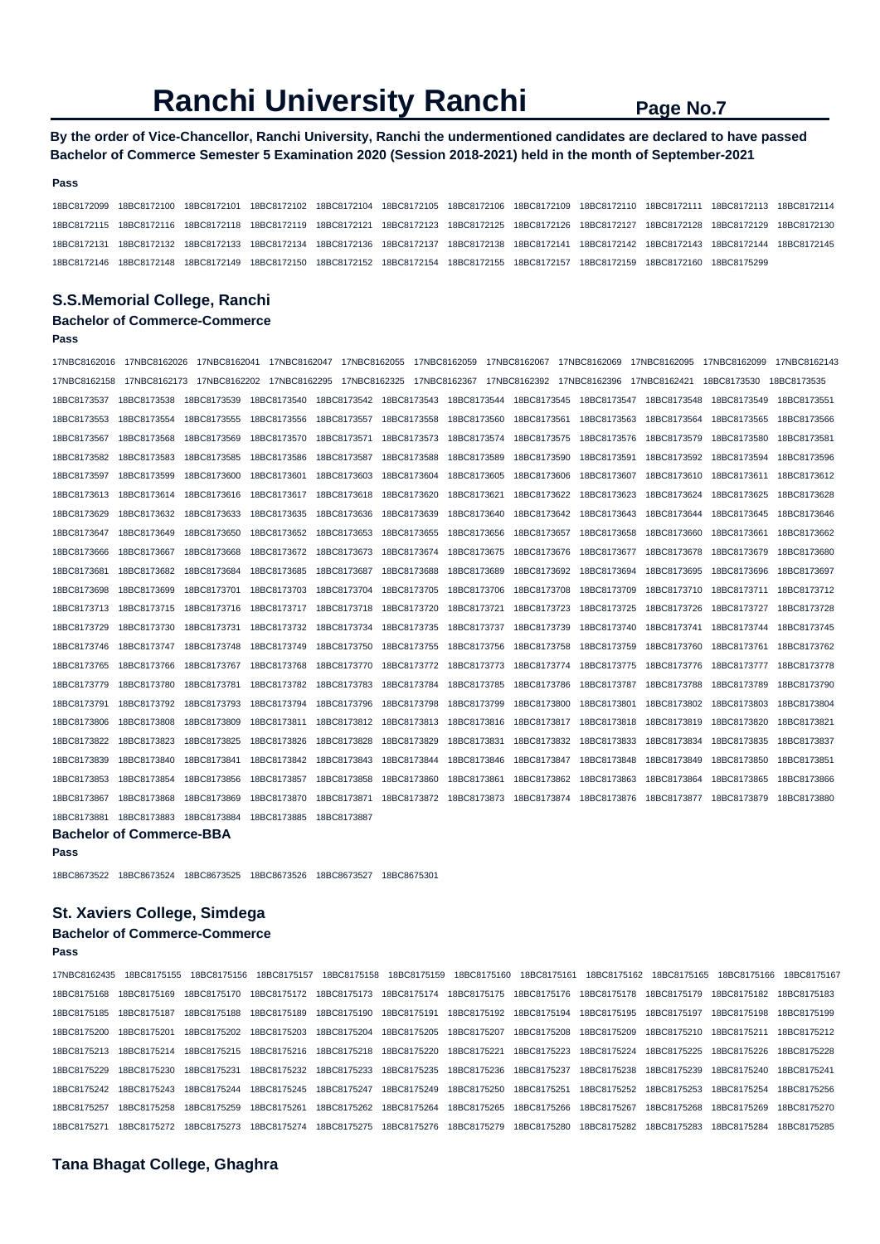**By the order of Vice-Chancellor, Ranchi University, Ranchi the undermentioned candidates are declared to have passed Bachelor of Commerce Semester 5 Examination 2020 (Session 2018-2021) held in the month of September-2021** 

#### **Pass**

18BC8172099 18BC8172100 18BC8172101 18BC8172102 18BC8172104 18BC8172105 18BC8172106 18BC8172109 18BC8172110 18BC8172111 18BC8172113 18BC8172114 18BC8172115 18BC8172116 18BC8172118 18BC8172119 18BC8172121 18BC8172123 18BC8172125 18BC8172126 18BC8172127 18BC8172128 18BC8172129 18BC8172130 18BC8172131 18BC8172132 18BC8172133 18BC8172134 18BC8172136 18BC8172137 18BC8172138 18BC8172141 18BC8172142 18BC8172143 18BC8172144 18BC8172145 18BC8172146 18BC8172148 18BC8172149 18BC8172150 18BC8172152 18BC8172154 18BC8172155 18BC8172157 18BC8172159 18BC8172160 18BC8175299

## **S.S.Memorial College, Ranchi**

#### **Bachelor of Commerce-Commerce Pass**

17NBC8162016 17NBC8162026 17NBC8162041 17NBC8162047 17NBC8162055 17NBC8162059 17NBC8162067 17NBC8162069 17NBC8162095 17NBC8162099 17NBC8162143 17NBC8162158 17NBC8162173 17NBC8162202 17NBC8162295 17NBC8162325 17NBC8162367 17NBC8162392 17NBC8162396 17NBC8162421 18BC8173530 18BC8173535 18BC8173537 18BC8173538 18BC8173539 18BC8173540 18BC8173542 18BC8173543 18BC8173544 18BC8173545 18BC8173547 18BC8173548 18BC8173549 18BC8173551 18BC8173553 18BC8173554 18BC8173555 18BC8173556 18BC8173557 18BC8173558 18BC8173560 18BC8173561 18BC8173563 18BC8173564 18BC8173565 18BC8173566 18BC8173567 18BC8173568 18BC8173569 18BC8173570 18BC8173571 18BC8173573 18BC8173574 18BC8173575 18BC8173576 18BC8173579 18BC8173580 18BC8173581 18BC8173582 18BC8173583 18BC8173585 18BC8173586 18BC8173587 18BC8173588 18BC8173589 18BC8173590 18BC8173591 18BC8173592 18BC8173594 18BC8173596 18BC8173597 18BC8173599 18BC8173600 18BC8173601 18BC8173603 18BC8173604 18BC8173605 18BC8173606 18BC8173607 18BC8173610 18BC8173611 18BC8173612 18BC8173613 18BC8173614 18BC8173616 18BC8173617 18BC8173618 18BC8173620 18BC8173621 18BC8173622 18BC8173623 18BC8173624 18BC8173625 18BC8173628 18BC8173629 18BC8173632 18BC8173633 18BC8173635 18BC8173636 18BC8173639 18BC8173640 18BC8173642 18BC8173643 18BC8173644 18BC8173645 18BC8173646 18BC8173647 18BC8173649 18BC8173650 18BC8173652 18BC8173653 18BC8173655 18BC8173656 18BC8173657 18BC8173658 18BC8173660 18BC8173661 18BC8173662 18BC8173666 18BC8173667 18BC8173668 18BC8173672 18BC8173673 18BC8173674 18BC8173675 18BC8173676 18BC8173677 18BC8173678 18BC8173679 18BC8173680 18BC8173681 18BC8173682 18BC8173684 18BC8173685 18BC8173687 18BC8173688 18BC8173689 18BC8173692 18BC8173694 18BC8173695 18BC8173696 18BC8173697 18BC8173698 18BC8173699 18BC8173701 18BC8173703 18BC8173704 18BC8173705 18BC8173706 18BC8173708 18BC8173709 18BC8173710 18BC8173711 18BC8173712 18BC8173713 18BC8173715 18BC8173716 18BC8173717 18BC8173718 18BC8173720 18BC8173721 18BC8173723 18BC8173725 18BC8173726 18BC8173727 18BC8173728 18BC8173729 18BC8173730 18BC8173731 18BC8173732 18BC8173734 18BC8173735 18BC8173737 18BC8173739 18BC8173740 18BC8173741 18BC8173744 18BC8173745 18BC8173746 18BC8173747 18BC8173748 18BC8173749 18BC8173750 18BC8173755 18BC8173756 18BC8173758 18BC8173759 18BC8173760 18BC8173761 18BC8173762 18BC8173765 18BC8173766 18BC8173767 18BC8173768 18BC8173770 18BC8173772 18BC8173773 18BC8173774 18BC8173775 18BC8173776 18BC8173777 18BC8173778 18BC8173779 18BC8173780 18BC8173781 18BC8173782 18BC8173783 18BC8173784 18BC8173785 18BC8173786 18BC8173787 18BC8173788 18BC8173789 18BC8173790 18BC8173791 18BC8173792 18BC8173793 18BC8173794 18BC8173796 18BC8173798 18BC8173799 18BC8173800 18BC8173801 18BC8173802 18BC8173803 18BC8173804 18BC8173806 18BC8173808 18BC8173809 18BC8173811 18BC8173812 18BC8173813 18BC8173816 18BC8173817 18BC8173818 18BC8173819 18BC8173820 18BC8173821 18BC8173822 18BC8173823 18BC8173825 18BC8173826 18BC8173828 18BC8173829 18BC8173831 18BC8173832 18BC8173833 18BC8173834 18BC8173835 18BC8173837 18BC8173839 18BC8173840 18BC8173841 18BC8173842 18BC8173843 18BC8173844 18BC8173846 18BC8173847 18BC8173848 18BC8173849 18BC8173850 18BC8173851 18BC8173853 18BC8173854 18BC8173856 18BC8173857 18BC8173858 18BC8173860 18BC8173861 18BC8173862 18BC8173863 18BC8173864 18BC8173865 18BC8173866 18BC8173867 18BC8173868 18BC8173869 18BC8173870 18BC8173871 18BC8173872 18BC8173873 18BC8173874 18BC8173876 18BC8173877 18BC8173879 18BC8173880 18BC8173881 18BC8173883 18BC8173884 18BC8173885 18BC8173887 **Bachelor of Commerce-BBA** 

```
Pass
```
18BC8673522 18BC8673524 18BC8673525 18BC8673526 18BC8673527 18BC8675301

## **St. Xaviers College, Simdega**

## **Bachelor of Commerce-Commerce**

**Pass** 

17NBC8162435 18BC8175155 18BC8175156 18BC8175157 18BC8175158 18BC8175159 18BC8175160 18BC8175161 18BC8175162 18BC8175165 18BC8175166 18BC8175167 18BC8175168 18BC8175169 18BC8175170 18BC8175172 18BC8175173 18BC8175174 18BC8175175 18BC8175176 18BC8175178 18BC8175179 18BC8175182 18BC8175183 18BC8175185 18BC8175187 18BC8175188 18BC8175189 18BC8175190 18BC8175191 18BC8175192 18BC8175194 18BC8175195 18BC8175197 18BC8175198 18BC8175199 18BC8175200 18BC8175201 18BC8175202 18BC8175203 18BC8175204 18BC8175205 18BC8175207 18BC8175208 18BC8175209 18BC8175210 18BC8175211 18BC8175212 18BC8175213 18BC8175214 18BC8175215 18BC8175216 18BC8175218 18BC8175220 18BC8175221 18BC8175223 18BC8175224 18BC8175225 18BC8175226 18BC8175228 18BC8175229 18BC8175230 18BC8175231 18BC8175232 18BC8175233 18BC8175235 18BC8175236 18BC8175237 18BC8175238 18BC8175239 18BC8175240 18BC8175241 18BC8175242 18BC8175243 18BC8175244 18BC8175245 18BC8175247 18BC8175249 18BC8175250 18BC8175251 18BC8175252 18BC8175253 18BC8175254 18BC8175256 18BC8175257 18BC8175258 18BC8175259 18BC8175261 18BC8175262 18BC8175264 18BC8175265 18BC8175266 18BC8175267 18BC8175268 18BC8175269 18BC8175270 18BC8175271 18BC8175272 18BC8175273 18BC8175274 18BC8175275 18BC8175276 18BC8175279 18BC8175280 18BC8175282 18BC8175283 18BC8175284 18BC8175285

#### **Tana Bhagat College, Ghaghra**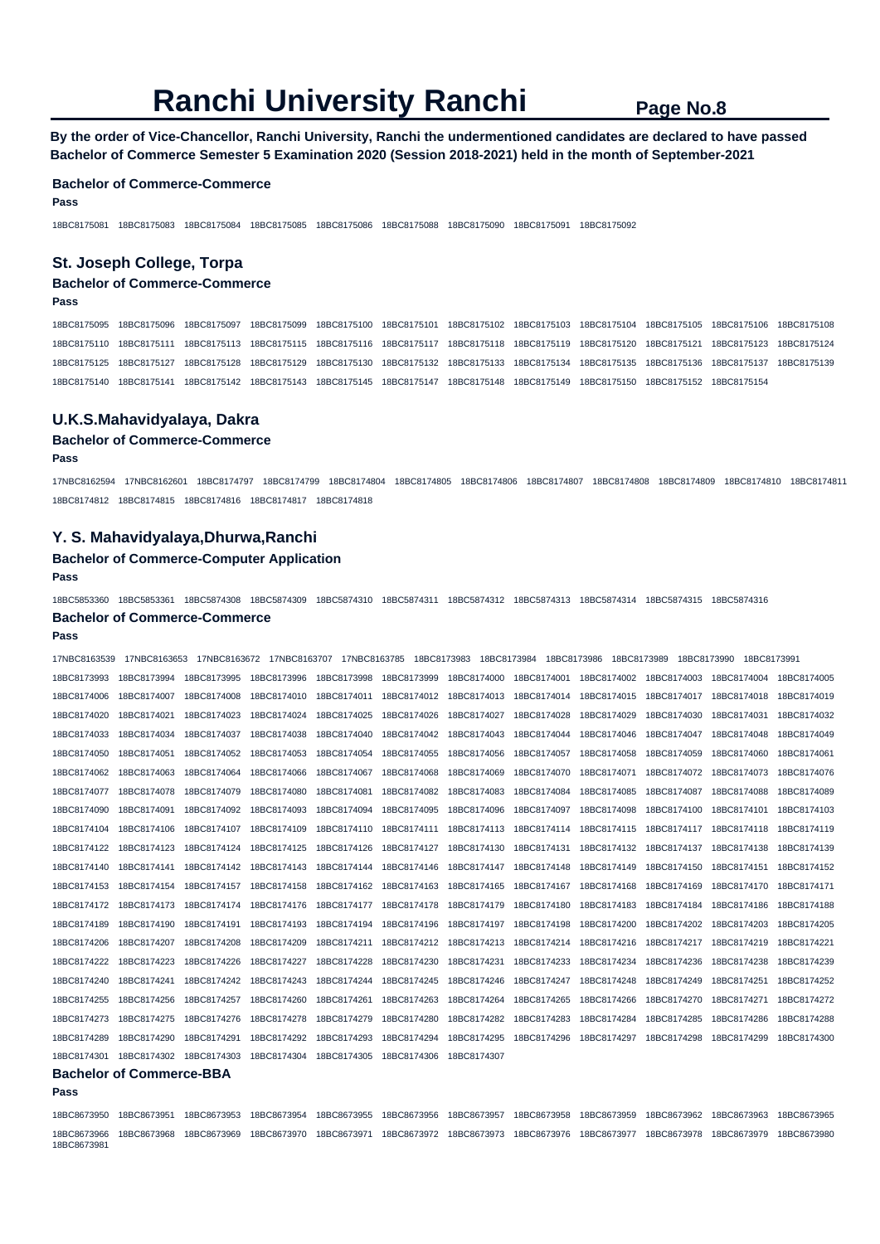**By the order of Vice-Chancellor, Ranchi University, Ranchi the undermentioned candidates are declared to have passed Bachelor of Commerce Semester 5 Examination 2020 (Session 2018-2021) held in the month of September-2021** 

#### **Bachelor of Commerce-Commerce**

**Pass** 

18BC8175081 18BC8175083 18BC8175084 18BC8175085 18BC8175086 18BC8175088 18BC8175090 18BC8175091 18BC8175092

## **St. Joseph College, Torpa**

## **Bachelor of Commerce-Commerce**

**Pass** 

18BC8175095 18BC8175096 18BC8175097 18BC8175099 18BC8175100 18BC8175101 18BC8175102 18BC8175103 18BC8175104 18BC8175105 18BC8175106 18BC8175108 18BC8175110 18BC8175111 18BC8175113 18BC8175115 18BC8175116 18BC8175117 18BC8175118 18BC8175119 18BC8175120 18BC8175121 18BC8175123 18BC8175124 18BC8175125 18BC8175127 18BC8175128 18BC8175129 18BC8175130 18BC8175132 18BC8175133 18BC8175134 18BC8175135 18BC8175136 18BC8175137 18BC8175139 18BC8175140 18BC8175141 18BC8175142 18BC8175143 18BC8175145 18BC8175147 18BC8175148 18BC8175149 18BC8175150 18BC8175152 18BC8175154

### **U.K.S.Mahavidyalaya, Dakra**

#### **Bachelor of Commerce-Commerce**

**Pass** 

17NBC8162594 17NBC8162601 18BC8174797 18BC8174799 18BC8174804 18BC8174805 18BC8174806 18BC8174807 18BC8174808 18BC8174809 18BC8174810 18BC8174811 18BC8174812 18BC8174815 18BC8174816 18BC8174817 18BC8174818

#### **Y. S. Mahavidyalaya,Dhurwa,Ranchi**

## **Bachelor of Commerce-Computer Application**

**Pass** 

18BC5853360 18BC5853361 18BC5874308 18BC5874309 18BC5874310 18BC5874311 18BC5874312 18BC5874313 18BC5874314 18BC5874315 18BC5874316 **Bachelor of Commerce-Commerce** 

#### **Pass**

18BC8673981

| 17NBC8163539 | 17NBC8163653                    | 17NBC8163672 | 17NBC8163707            | 17NBC8163785 | 18BC8173983             | 18BC8173984             | 18BC8173986 | 18BC8173989 | 18BC8173990 | 18BC8173991 |             |
|--------------|---------------------------------|--------------|-------------------------|--------------|-------------------------|-------------------------|-------------|-------------|-------------|-------------|-------------|
| 18BC8173993  | 18BC8173994                     | 18BC8173995  | 18BC8173996             | 18BC8173998  | 18BC8173999             | 18BC8174000 18BC8174001 |             | 18BC8174002 | 18BC8174003 | 18BC8174004 | 18BC8174005 |
| 18BC8174006  | 18BC8174007                     | 18BC8174008  | 18BC8174010             | 18BC8174011  | 18BC8174012 18BC8174013 |                         | 18BC8174014 | 18BC8174015 | 18BC8174017 | 18BC8174018 | 18BC8174019 |
| 18BC8174020  | 18BC8174021                     | 18BC8174023  | 18BC8174024             | 18BC8174025  | 18BC8174026             | 18BC8174027             | 18BC8174028 | 18BC8174029 | 18BC8174030 | 18BC8174031 | 18BC8174032 |
| 18BC8174033  | 18BC8174034                     | 18BC8174037  | 18BC8174038             | 18BC8174040  | 18BC8174042             | 18BC8174043             | 18BC8174044 | 18BC8174046 | 18BC8174047 | 18BC8174048 | 18BC8174049 |
| 18BC8174050  | 18BC8174051                     | 18BC8174052  | 18BC8174053             | 18BC8174054  | 18BC8174055             | 18BC8174056             | 18BC8174057 | 18BC8174058 | 18BC8174059 | 18BC8174060 | 18BC8174061 |
| 18BC8174062  | 18BC8174063                     | 18BC8174064  | 18BC8174066             | 18BC8174067  | 18BC8174068             | 18BC8174069             | 18BC8174070 | 18BC8174071 | 18BC8174072 | 18BC8174073 | 18BC8174076 |
| 18BC8174077  | 18BC8174078                     | 18BC8174079  | 18BC8174080             | 18BC8174081  | 18BC8174082             | 18BC8174083             | 18BC8174084 | 18BC8174085 | 18BC8174087 | 18BC8174088 | 18BC8174089 |
| 18BC8174090  | 18BC8174091                     | 18BC8174092  | 18BC8174093             | 18BC8174094  | 18BC8174095             | 18BC8174096             | 18BC8174097 | 18BC8174098 | 18BC8174100 | 18BC8174101 | 18BC8174103 |
| 18BC8174104  | 18BC8174106                     | 18BC8174107  | 18BC8174109             | 18BC8174110  | 18BC8174111             | 18BC8174113             | 18BC8174114 | 18BC8174115 | 18BC8174117 | 18BC8174118 | 18BC8174119 |
| 18BC8174122  | 18BC8174123                     | 18BC8174124  | 18BC8174125             | 18BC8174126  | 18BC8174127             | 18BC8174130             | 18BC8174131 | 18BC8174132 | 18BC8174137 | 18BC8174138 | 18BC8174139 |
| 18BC8174140  | 18BC8174141                     | 18BC8174142  | 18BC8174143             | 18BC8174144  | 18BC8174146             | 18BC8174147             | 18BC8174148 | 18BC8174149 | 18BC8174150 | 18BC8174151 | 18BC8174152 |
| 18BC8174153  | 18BC8174154                     | 18BC8174157  | 18BC8174158             | 18BC8174162  | 18BC8174163             | 18BC8174165             | 18BC8174167 | 18BC8174168 | 18BC8174169 | 18BC8174170 | 18BC8174171 |
| 18BC8174172  | 18BC8174173                     | 18BC8174174  | 18BC8174176             | 18BC8174177  | 18BC8174178             | 18BC8174179             | 18BC8174180 | 18BC8174183 | 18BC8174184 | 18BC8174186 | 18BC8174188 |
| 18BC8174189  | 18BC8174190                     | 18BC8174191  | 18BC8174193             | 18BC8174194  | 18BC8174196             | 18BC8174197             | 18BC8174198 | 18BC8174200 | 18BC8174202 | 18BC8174203 | 18BC8174205 |
| 18BC8174206  | 18BC8174207                     | 18BC8174208  | 18BC8174209             | 18BC8174211  | 18BC8174212             | 18BC8174213             | 18BC8174214 | 18BC8174216 | 18BC8174217 | 18BC8174219 | 18BC8174221 |
| 18BC8174222  | 18BC8174223                     | 18BC8174226  | 18BC8174227             | 18BC8174228  | 18BC8174230             | 18BC8174231             | 18BC8174233 | 18BC8174234 | 18BC8174236 | 18BC8174238 | 18BC8174239 |
| 18BC8174240  | 18BC8174241                     | 18BC8174242  | 18BC8174243             | 18BC8174244  | 18BC8174245             | 18BC8174246             | 18BC8174247 | 18BC8174248 | 18BC8174249 | 18BC8174251 | 18BC8174252 |
| 18BC8174255  | 18BC8174256                     | 18BC8174257  | 18BC8174260             | 18BC8174261  | 18BC8174263             | 18BC8174264             | 18BC8174265 | 18BC8174266 | 18BC8174270 | 18BC8174271 | 18BC8174272 |
| 18BC8174273  | 18BC8174275                     | 18BC8174276  | 18BC8174278             | 18BC8174279  | 18BC8174280             | 18BC8174282             | 18BC8174283 | 18BC8174284 | 18BC8174285 | 18BC8174286 | 18BC8174288 |
| 18BC8174289  | 18BC8174290                     | 18BC8174291  | 18BC8174292             | 18BC8174293  | 18BC8174294             | 18BC8174295             | 18BC8174296 | 18BC8174297 | 18BC8174298 | 18BC8174299 | 18BC8174300 |
| 18BC8174301  | 18BC8174302                     | 18BC8174303  | 18BC8174304             | 18BC8174305  | 18BC8174306             | 18BC8174307             |             |             |             |             |             |
|              | <b>Bachelor of Commerce-BBA</b> |              |                         |              |                         |                         |             |             |             |             |             |
| Pass         |                                 |              |                         |              |                         |                         |             |             |             |             |             |
| 18BC8673950  | 18BC8673951                     | 18BC8673953  | 18BC8673954 18BC8673955 |              | 18BC8673956             | 18BC8673957             | 18BC8673958 | 18BC8673959 | 18BC8673962 | 18BC8673963 | 18BC8673965 |

18BC8673966 18BC8673968 18BC8673969 18BC8673970 18BC8673971 18BC8673972 18BC8673973 18BC8673976 18BC8673977 18BC8673978 18BC8673979 18BC8673980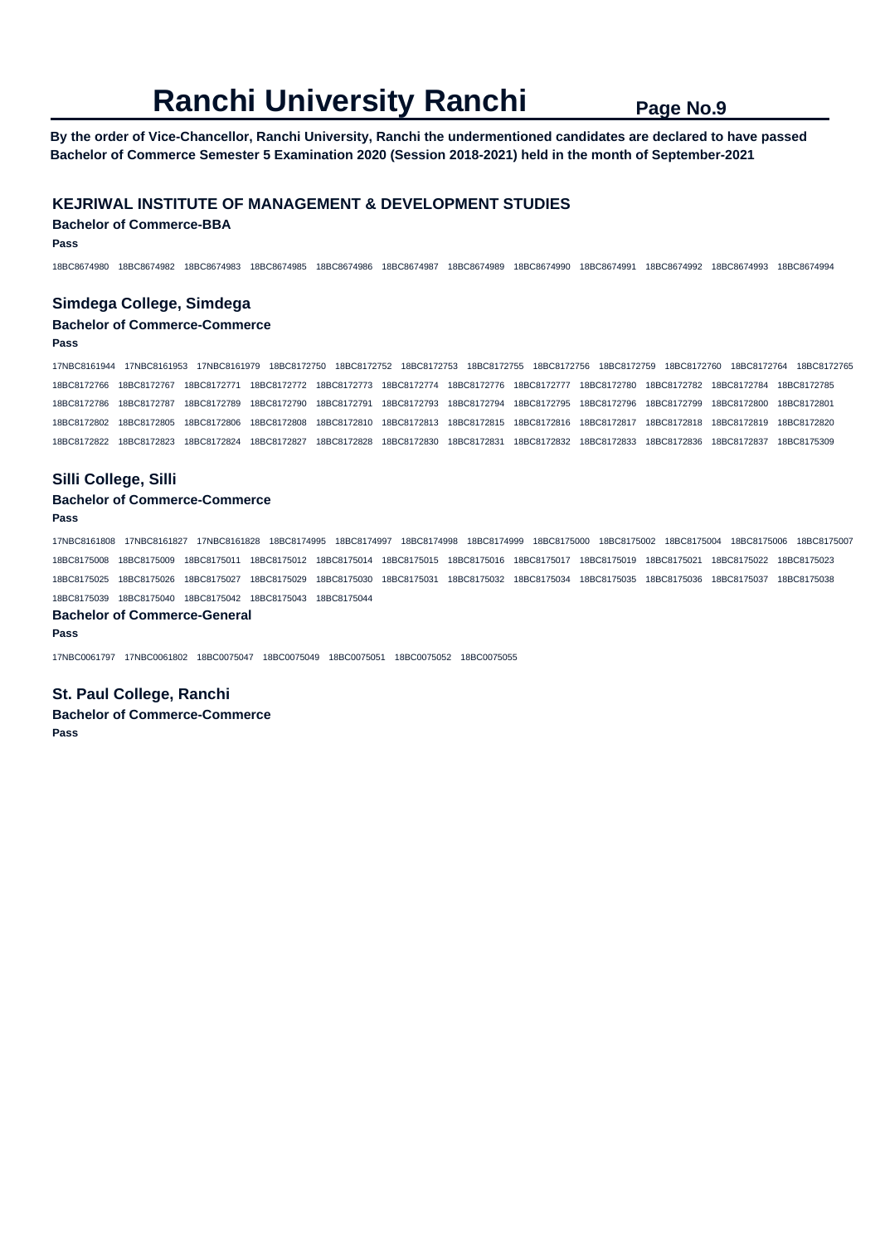**By the order of Vice-Chancellor, Ranchi University, Ranchi the undermentioned candidates are declared to have passed Bachelor of Commerce Semester 5 Examination 2020 (Session 2018-2021) held in the month of September-2021** 

## **KEJRIWAL INSTITUTE OF MANAGEMENT & DEVELOPMENT STUDIES**

**Bachelor of Commerce-BBA** 

**Pass** 

18BC8674980 18BC8674982 18BC8674983 18BC8674985 18BC8674986 18BC8674987 18BC8674989 18BC8674990 18BC8674991 18BC8674992 18BC8674993 18BC8674994

### **Simdega College, Simdega**

## **Bachelor of Commerce-Commerce**

**Pass** 

17NBC8161944 17NBC8161953 17NBC8161979 18BC8172750 18BC8172752 18BC8172753 18BC8172755 18BC8172756 18BC8172759 18BC8172760 18BC8172764 18BC8172765 18BC8172766 18BC8172767 18BC8172771 18BC8172772 18BC8172773 18BC8172774 18BC8172776 18BC8172777 18BC8172780 18BC8172782 18BC8172784 18BC8172785 18BC8172786 18BC8172787 18BC8172789 18BC8172790 18BC8172791 18BC8172793 18BC8172794 18BC8172795 18BC8172796 18BC8172799 18BC8172800 18BC8172801 18BC8172802 18BC8172805 18BC8172806 18BC8172808 18BC8172810 18BC8172813 18BC8172815 18BC8172816 18BC8172817 18BC8172818 18BC8172819 18BC8172820 18BC8172822 18BC8172823 18BC8172824 18BC8172827 18BC8172828 18BC8172830 18BC8172831 18BC8172832 18BC8172833 18BC8172836 18BC8172837 18BC8175309

## **Silli College, Silli**

### **Bachelor of Commerce-Commerce Pass**

17NBC8161808 17NBC8161827 17NBC8161828 18BC8174995 18BC8174997 18BC8174998 18BC8174999 18BC8175000 18BC8175002 18BC8175004 18BC8175006 18BC8175007 18BC8175008 18BC8175009 18BC8175011 18BC8175012 18BC8175014 18BC8175015 18BC8175016 18BC8175017 18BC8175019 18BC8175021 18BC8175022 18BC8175023 18BC8175025 18BC8175026 18BC8175027 18BC8175029 18BC8175030 18BC8175031 18BC8175032 18BC8175034 18BC8175035 18BC8175036 18BC8175037 18BC8175038 18BC8175039 18BC8175040 18BC8175042 18BC8175043 18BC8175044

#### **Bachelor of Commerce-General**

**Pass** 

17NBC0061797 17NBC0061802 18BC0075047 18BC0075049 18BC0075051 18BC0075052 18BC0075055

**St. Paul College, Ranchi Bachelor of Commerce-Commerce Pass**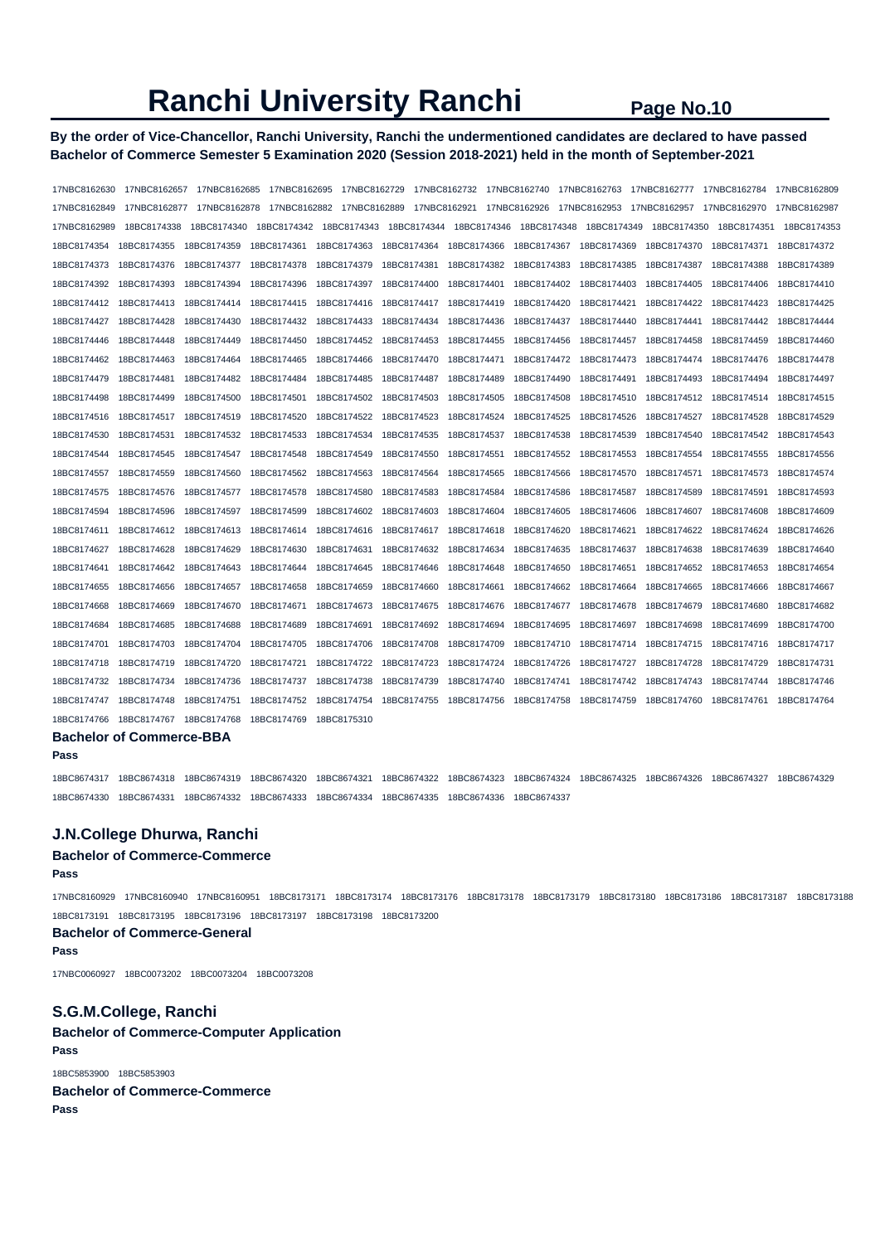## **By the order of Vice-Chancellor, Ranchi University, Ranchi the undermentioned candidates are declared to have passed Bachelor of Commerce Semester 5 Examination 2020 (Session 2018-2021) held in the month of September-2021**

| 17NBC8162630                    | 17NBC8162657 | 17NBC8162685 | 17NBC8162695 |             | 17NBC8162729  17NBC8162732  17NBC8162740  17NBC8162763 |             |             |                                          | 17NBC8162777 | 17NBC8162784 | 17NBC8162809 |
|---------------------------------|--------------|--------------|--------------|-------------|--------------------------------------------------------|-------------|-------------|------------------------------------------|--------------|--------------|--------------|
| 17NBC8162849                    | 17NBC8162877 | 17NBC8162878 |              |             |                                                        |             |             | 17NBC8162921  17NBC8162926  17NBC8162953 | 17NBC8162957 | 17NBC8162970 | 17NBC8162987 |
| 17NBC8162989                    | 18BC8174338  | 18BC8174340  |              |             |                                                        |             | 18BC8174348 | 18BC8174349                              |              |              | 18BC8174353  |
| 18BC8174354                     | 18BC8174355  | 18BC8174359  | 18BC8174361  | 18BC8174363 | 18BC8174364                                            | 18BC8174366 | 18BC8174367 | 18BC8174369                              | 18BC8174370  | 18BC8174371  | 18BC8174372  |
| 18BC8174373                     | 18BC8174376  | 18BC8174377  | 18BC8174378  | 18BC8174379 | 18BC8174381                                            | 18BC8174382 | 18BC8174383 | 18BC8174385                              | 18BC8174387  | 18BC8174388  | 18BC8174389  |
| 18BC8174392                     | 18BC8174393  | 18BC8174394  | 18BC8174396  | 18BC8174397 | 18BC8174400                                            | 18BC8174401 | 18BC8174402 | 18BC8174403                              | 18BC8174405  | 18BC8174406  | 18BC8174410  |
| 18BC8174412                     | 18BC8174413  | 18BC8174414  | 18BC8174415  | 18BC8174416 | 18BC8174417                                            | 18BC8174419 | 18BC8174420 | 18BC8174421                              | 18BC8174422  | 18BC8174423  | 18BC8174425  |
| 18BC8174427                     | 18BC8174428  | 18BC8174430  | 18BC8174432  | 18BC8174433 | 18BC8174434                                            | 18BC8174436 | 18BC8174437 | 18BC8174440                              | 18BC8174441  | 18BC8174442  | 18BC8174444  |
| 18BC8174446                     | 18BC8174448  | 18BC8174449  | 18BC8174450  | 18BC8174452 | 18BC8174453                                            | 18BC8174455 | 18BC8174456 | 18BC8174457                              | 18BC8174458  | 18BC8174459  | 18BC8174460  |
| 18BC8174462                     | 18BC8174463  | 18BC8174464  | 18BC8174465  | 18BC8174466 | 18BC8174470                                            | 18BC8174471 | 18BC8174472 | 18BC8174473                              | 18BC8174474  | 18BC8174476  | 18BC8174478  |
| 18BC8174479                     | 18BC8174481  | 18BC8174482  | 18BC8174484  | 18BC8174485 | 18BC8174487                                            | 18BC8174489 | 18BC8174490 | 18BC8174491                              | 18BC8174493  | 18BC8174494  | 18BC8174497  |
| 18BC8174498                     | 18BC8174499  | 18BC8174500  | 18BC8174501  | 18BC8174502 | 18BC8174503                                            | 18BC8174505 | 18BC8174508 | 18BC8174510                              | 18BC8174512  | 18BC8174514  | 18BC8174515  |
| 18BC8174516                     | 18BC8174517  | 18BC8174519  | 18BC8174520  | 18BC8174522 | 18BC8174523                                            | 18BC8174524 | 18BC8174525 | 18BC8174526                              | 18BC8174527  | 18BC8174528  | 18BC8174529  |
| 18BC8174530                     | 18BC8174531  | 18BC8174532  | 18BC8174533  | 18BC8174534 | 18BC8174535                                            | 18BC8174537 | 18BC8174538 | 18BC8174539                              | 18BC8174540  | 18BC8174542  | 18BC8174543  |
| 18BC8174544                     | 18BC8174545  | 18BC8174547  | 18BC8174548  | 18BC8174549 | 18BC8174550                                            | 18BC8174551 | 18BC8174552 | 18BC8174553                              | 18BC8174554  | 18BC8174555  | 18BC8174556  |
| 18BC8174557                     | 18BC8174559  | 18BC8174560  | 18BC8174562  | 18BC8174563 | 18BC8174564                                            | 18BC8174565 | 18BC8174566 | 18BC8174570                              | 18BC8174571  | 18BC8174573  | 18BC8174574  |
| 18BC8174575                     | 18BC8174576  | 18BC8174577  | 18BC8174578  | 18BC8174580 | 18BC8174583                                            | 18BC8174584 | 18BC8174586 | 18BC8174587                              | 18BC8174589  | 18BC8174591  | 18BC8174593  |
| 18BC8174594                     | 18BC8174596  | 18BC8174597  | 18BC8174599  | 18BC8174602 | 18BC8174603                                            | 18BC8174604 | 18BC8174605 | 18BC8174606                              | 18BC8174607  | 18BC8174608  | 18BC8174609  |
| 18BC8174611                     | 18BC8174612  | 18BC8174613  | 18BC8174614  | 18BC8174616 | 18BC8174617                                            | 18BC8174618 | 18BC8174620 | 18BC8174621                              | 18BC8174622  | 18BC8174624  | 18BC8174626  |
| 18BC8174627                     | 18BC8174628  | 18BC8174629  | 18BC8174630  | 18BC8174631 | 18BC8174632                                            | 18BC8174634 | 18BC8174635 | 18BC8174637                              | 18BC8174638  | 18BC8174639  | 18BC8174640  |
| 18BC8174641                     | 18BC8174642  | 18BC8174643  | 18BC8174644  | 18BC8174645 | 18BC8174646                                            | 18BC8174648 | 18BC8174650 | 18BC8174651                              | 18BC8174652  | 18BC8174653  | 18BC8174654  |
| 18BC8174655                     | 18BC8174656  | 18BC8174657  | 18BC8174658  | 18BC8174659 | 18BC8174660                                            | 18BC8174661 | 18BC8174662 | 18BC8174664                              | 18BC8174665  | 18BC8174666  | 18BC8174667  |
| 18BC8174668                     | 18BC8174669  | 18BC8174670  | 18BC8174671  | 18BC8174673 | 18BC8174675                                            | 18BC8174676 | 18BC8174677 | 18BC8174678                              | 18BC8174679  | 18BC8174680  | 18BC8174682  |
| 18BC8174684                     | 18BC8174685  | 18BC8174688  | 18BC8174689  | 18BC8174691 | 18BC8174692                                            | 18BC8174694 | 18BC8174695 | 18BC8174697                              | 18BC8174698  | 18BC8174699  | 18BC8174700  |
| 18BC8174701                     | 18BC8174703  | 18BC8174704  | 18BC8174705  | 18BC8174706 | 18BC8174708                                            | 18BC8174709 | 18BC8174710 | 18BC8174714                              | 18BC8174715  | 18BC8174716  | 18BC8174717  |
| 18BC8174718                     | 18BC8174719  | 18BC8174720  | 18BC8174721  | 18BC8174722 | 18BC8174723                                            | 18BC8174724 | 18BC8174726 | 18BC8174727                              | 18BC8174728  | 18BC8174729  | 18BC8174731  |
| 18BC8174732                     | 18BC8174734  | 18BC8174736  | 18BC8174737  | 18BC8174738 | 18BC8174739                                            | 18BC8174740 | 18BC8174741 | 18BC8174742                              | 18BC8174743  | 18BC8174744  | 18BC8174746  |
| 18BC8174747                     | 18BC8174748  | 18BC8174751  | 18BC8174752  | 18BC8174754 | 18BC8174755                                            | 18BC8174756 | 18BC8174758 | 18BC8174759                              | 18BC8174760  | 18BC8174761  | 18BC8174764  |
| 18BC8174766                     | 18BC8174767  | 18BC8174768  | 18BC8174769  | 18BC8175310 |                                                        |             |             |                                          |              |              |              |
| <b>Bachelor of Commerce-BBA</b> |              |              |              |             |                                                        |             |             |                                          |              |              |              |

**Pass** 

18BC8674317 18BC8674318 18BC8674319 18BC8674320 18BC8674321 18BC8674322 18BC8674323 18BC8674324 18BC8674325 18BC8674326 18BC8674327 18BC8674329 18BC8674330 18BC8674331 18BC8674332 18BC8674333 18BC8674334 18BC8674335 18BC8674336 18BC8674337

## **J.N.College Dhurwa, Ranchi**

## **Bachelor of Commerce-Commerce**

**Pass** 

17NBC8160929 17NBC8160940 17NBC8160951 18BC8173171 18BC8173174 18BC8173176 18BC8173178 18BC8173179 18BC8173180 18BC8173186 18BC8173187 18BC8173188 18BC8173191 18BC8173195 18BC8173196 18BC8173197 18BC8173198 18BC8173200

## **Bachelor of Commerce-General**

**Pass** 

17NBC0060927 18BC0073202 18BC0073204 18BC0073208

## **S.G.M.College, Ranchi**

**Bachelor of Commerce-Computer Application Pass**  18BC5853900 18BC5853903

**Bachelor of Commerce-Commerce Pass**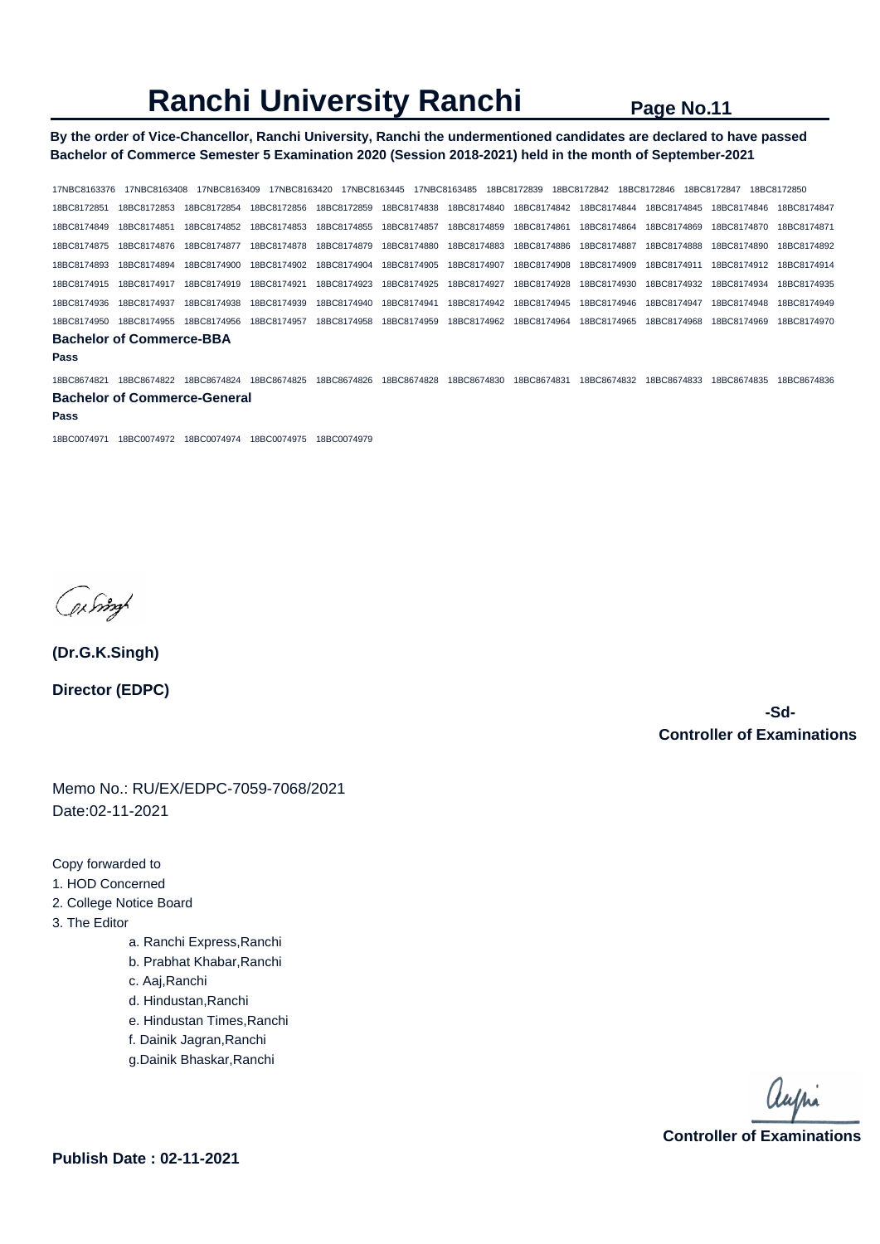**By the order of Vice-Chancellor, Ranchi University, Ranchi the undermentioned candidates are declared to have passed Bachelor of Commerce Semester 5 Examination 2020 (Session 2018-2021) held in the month of September-2021** 

17NBC8163376 17NBC8163408 17NBC8163409 17NBC8163420 17NBC8163445 17NBC8163485 18BC8172839 18BC8172842 18BC8172846 18BC8172847 18BC8172850 18BC8172851 18BC8172853 18BC8172854 18BC8172856 18BC8172859 18BC8174838 18BC8174840 18BC8174842 18BC8174844 18BC8174845 18BC8174846 18BC8174847 18BC8174849 18BC8174851 18BC8174852 18BC8174853 18BC8174855 18BC8174857 18BC8174859 18BC8174861 18BC8174864 18BC8174869 18BC8174870 18BC8174871 18BC8174875 18BC8174876 18BC8174877 18BC8174878 18BC8174879 18BC8174880 18BC8174883 18BC8174886 18BC8174887 18BC8174888 18BC8174890 18BC8174892 18BC8174893 18BC8174894 18BC8174900 18BC8174902 18BC8174904 18BC8174905 18BC8174907 18BC8174908 18BC8174909 18BC8174911 18BC8174912 18BC8174914 18BC8174915 18BC8174917 18BC8174919 18BC8174921 18BC8174923 18BC8174925 18BC8174927 18BC8174928 18BC8174930 18BC8174932 18BC8174934 18BC8174935 18BC8174936 18BC8174937 18BC8174938 18BC8174939 18BC8174940 18BC8174941 18BC8174942 18BC8174945 18BC8174946 18BC8174947 18BC8174948 18BC8174949 18BC8174950 18BC8174955 18BC8174956 18BC8174957 18BC8174958 18BC8174959 18BC8174962 18BC8174964 18BC8174965 18BC8174968 18BC8174969 18BC8174970 **Bachelor of Commerce-BBA Pass**  18BC8674821 18BC8674822 18BC8674824 18BC8674825 18BC8674826 18BC8674828 18BC8674830 18BC8674831 18BC8674832 18BC8674833 18BC8674835 18BC8674836 **Bachelor of Commerce-General** 

#### **Pass**

18BC0074971 18BC0074972 18BC0074974 18BC0074975 18BC0074979

filmy

**(Dr.G.K.Singh) Director (EDPC)**

> **-Sd-Controller of Examinations**

Memo No.: RU/EX/EDPC-7059-7068/2021 Date:02-11-2021

Copy forwarded to

- 1. HOD Concerned
- 2. College Notice Board
- 3. The Editor
	- a. Ranchi Express,Ranchi
	- b. Prabhat Khabar,Ranchi
	- c. Aaj,Ranchi
	- d. Hindustan,Ranchi
	- e. Hindustan Times,Ranchi
	- f. Dainik Jagran,Ranchi
	- g.Dainik Bhaskar,Ranchi

aupri **Controller of Examinations**

**Publish Date : 02-11-2021**